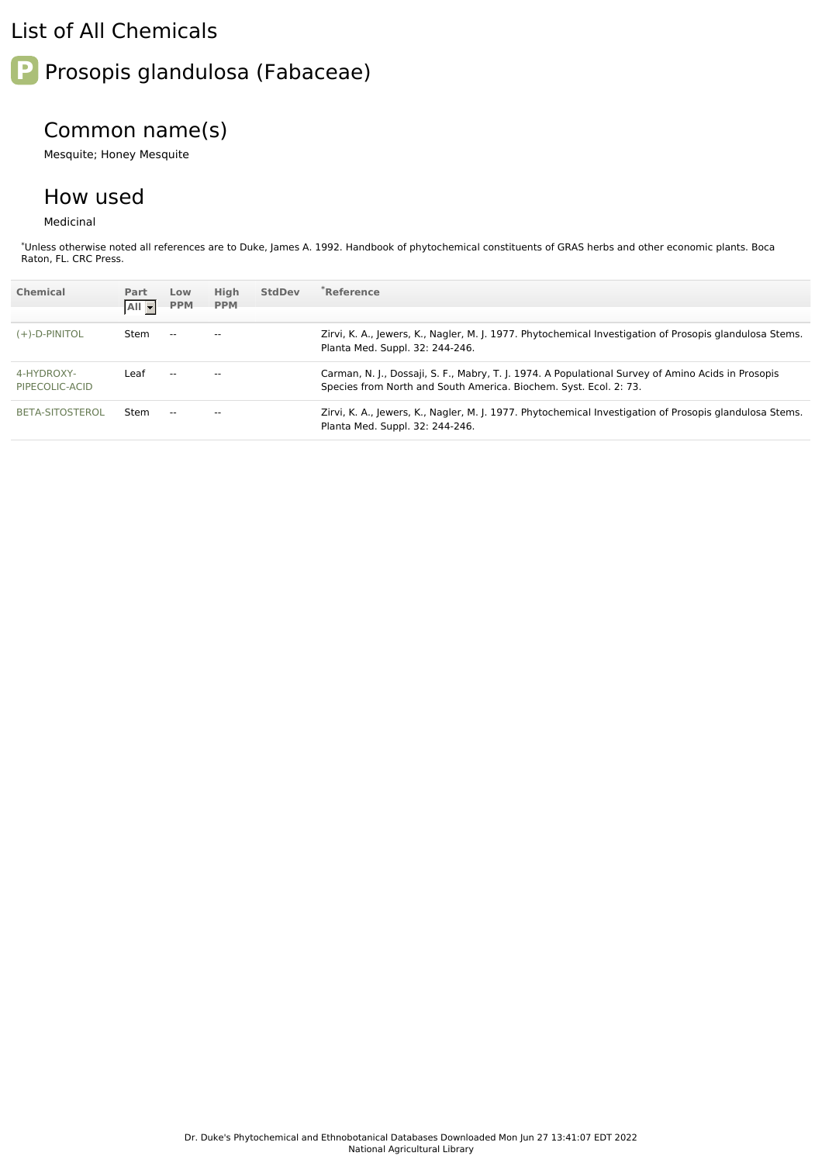### List of All Chemicals

# **P** Prosopis glandulosa (Fabaceae)

## Common name(s)

Mesquite; Honey Mesquite

#### How used

Medicinal

\*Unless otherwise noted all references are to Duke, James A. 1992. Handbook of phytochemical constituents of GRAS herbs and other economic plants. Boca Raton, FL. CRC Press.

| Chemical                     | Part<br>All - | Low<br><b>PPM</b>        | High<br><b>PPM</b> | <b>StdDev</b> | <sup>*</sup> Reference                                                                                                                                                  |
|------------------------------|---------------|--------------------------|--------------------|---------------|-------------------------------------------------------------------------------------------------------------------------------------------------------------------------|
|                              |               |                          |                    |               |                                                                                                                                                                         |
| $(+)$ -D-PINITOL             | Stem          | $\overline{\phantom{a}}$ | $-$                |               | Zirvi, K. A., Jewers, K., Nagler, M. J. 1977. Phytochemical Investigation of Prosopis glandulosa Stems.<br>Planta Med. Suppl. 32: 244-246.                              |
| 4-HYDROXY-<br>PIPECOLIC-ACID | Leaf          | $- -$                    |                    |               | Carman, N. J., Dossaji, S. F., Mabry, T. J. 1974. A Populational Survey of Amino Acids in Prosopis<br>Species from North and South America. Biochem. Syst. Ecol. 2: 73. |
| BETA-SITOSTEROL              | Stem          | $- -$                    | --                 |               | Zirvi, K. A., Jewers, K., Nagler, M. J. 1977. Phytochemical Investigation of Prosopis glandulosa Stems.<br>Planta Med. Suppl. 32: 244-246.                              |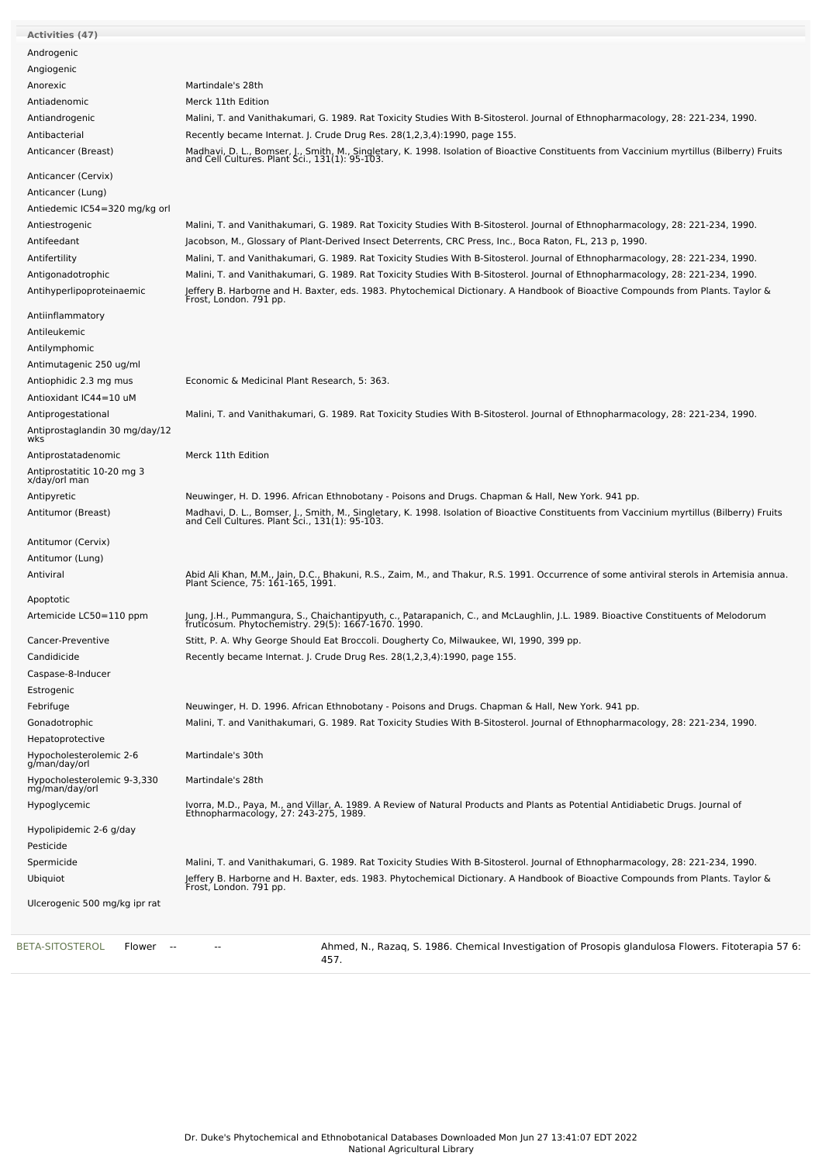| <b>Activities (47)</b>                        |                                                                                                                                                                                              |
|-----------------------------------------------|----------------------------------------------------------------------------------------------------------------------------------------------------------------------------------------------|
| Androgenic                                    |                                                                                                                                                                                              |
| Angiogenic                                    |                                                                                                                                                                                              |
| Anorexic                                      | Martindale's 28th                                                                                                                                                                            |
| Antiadenomic                                  | Merck 11th Edition                                                                                                                                                                           |
| Antiandrogenic                                | Malini, T. and Vanithakumari, G. 1989. Rat Toxicity Studies With B-Sitosterol. Journal of Ethnopharmacology, 28: 221-234, 1990.                                                              |
| Antibacterial                                 | Recently became Internat. J. Crude Drug Res. 28(1,2,3,4):1990, page 155.                                                                                                                     |
| Anticancer (Breast)                           | Madhavi, D. L., Bomser, J., Smith, M., Singletary, K. 1998. Isolation of Bioactive Constituents from Vaccinium myrtillus (Bilberry) Fruits<br>and Cell Cultures. Plant Sci., 131(1): 95-103. |
|                                               |                                                                                                                                                                                              |
| Anticancer (Cervix)                           |                                                                                                                                                                                              |
| Anticancer (Lung)                             |                                                                                                                                                                                              |
| Antiedemic IC54=320 mg/kg orl                 |                                                                                                                                                                                              |
| Antiestrogenic                                | Malini, T. and Vanithakumari, G. 1989. Rat Toxicity Studies With B-Sitosterol. Journal of Ethnopharmacology, 28: 221-234, 1990.                                                              |
| Antifeedant                                   | Jacobson, M., Glossary of Plant-Derived Insect Deterrents, CRC Press, Inc., Boca Raton, FL, 213 p, 1990.                                                                                     |
| Antifertility                                 | Malini, T. and Vanithakumari, G. 1989. Rat Toxicity Studies With B-Sitosterol. Journal of Ethnopharmacology, 28: 221-234, 1990.                                                              |
| Antigonadotrophic                             | Malini, T. and Vanithakumari, G. 1989. Rat Toxicity Studies With B-Sitosterol. Journal of Ethnopharmacology, 28: 221-234, 1990.                                                              |
| Antihyperlipoproteinaemic                     | Jeffery B. Harborne and H. Baxter, eds. 1983. Phytochemical Dictionary. A Handbook of Bioactive Compounds from Plants. Taylor &<br>Frost, London. 791 pp.                                    |
|                                               |                                                                                                                                                                                              |
| Antiinflammatory                              |                                                                                                                                                                                              |
| Antileukemic                                  |                                                                                                                                                                                              |
| Antilymphomic                                 |                                                                                                                                                                                              |
| Antimutagenic 250 ug/ml                       |                                                                                                                                                                                              |
| Antiophidic 2.3 mg mus                        | Economic & Medicinal Plant Research, 5: 363.                                                                                                                                                 |
| Antioxidant IC44=10 uM                        |                                                                                                                                                                                              |
| Antiprogestational                            | Malini, T. and Vanithakumari, G. 1989. Rat Toxicity Studies With B-Sitosterol. Journal of Ethnopharmacology, 28: 221-234, 1990.                                                              |
| Antiprostaglandin 30 mg/day/12                |                                                                                                                                                                                              |
| wks                                           |                                                                                                                                                                                              |
| Antiprostatadenomic                           | Merck 11th Edition                                                                                                                                                                           |
| Antiprostatitic 10-20 mg 3<br>x/day/orl man   |                                                                                                                                                                                              |
| Antipyretic                                   | Neuwinger, H. D. 1996. African Ethnobotany - Poisons and Drugs. Chapman & Hall, New York. 941 pp.                                                                                            |
| Antitumor (Breast)                            | Madhavi, D. L., Bomser, J., Smith, M., Singletary, K. 1998. Isolation of Bioactive Constituents from Vaccinium myrtillus (Bilberry) Fruits and Cell Cultures. Plant Sci., 131(1): 95-103.    |
| Antitumor (Cervix)                            |                                                                                                                                                                                              |
| Antitumor (Lung)                              |                                                                                                                                                                                              |
| Antiviral                                     | Abid Ali Khan, M.M., Jain, D.C., Bhakuni, R.S., Zaim, M., and Thakur, R.S. 1991. Occurrence of some antiviral sterols in Artemisia annua.<br>Plant Science, 75: 161-165, 1991.               |
| Apoptotic                                     |                                                                                                                                                                                              |
| Artemicide LC50=110 ppm                       | Jung, J.H., Pummangura, S., Chaichantipyuth, c., Patarapanich, C., and McLaughlin, J.L. 1989. Bioactive Constituents of Melodorum<br>fruticosum. Phytochemistry. 29(5): 1667-1670. 1990.     |
| Cancer-Preventive                             | Stitt, P. A. Why George Should Eat Broccoli. Dougherty Co, Milwaukee, WI, 1990, 399 pp.                                                                                                      |
| Candidicide                                   | Recently became Internat. J. Crude Drug Res. 28(1,2,3,4):1990, page 155.                                                                                                                     |
| Caspase-8-Inducer                             |                                                                                                                                                                                              |
| Estrogenic                                    |                                                                                                                                                                                              |
| Febrifuge                                     | Neuwinger, H. D. 1996. African Ethnobotany - Poisons and Drugs. Chapman & Hall, New York. 941 pp.                                                                                            |
| Gonadotrophic                                 | Malini, T. and Vanithakumari, G. 1989. Rat Toxicity Studies With B-Sitosterol. Journal of Ethnopharmacology, 28: 221-234, 1990.                                                              |
| Hepatoprotective                              |                                                                                                                                                                                              |
| Hypocholesterolemic 2-6<br>g/man/day/orl      | Martindale's 30th                                                                                                                                                                            |
| Hypocholesterolemic 9-3,330<br>mg/man/day/orl | Martindale's 28th                                                                                                                                                                            |
| Hypoglycemic                                  | Ivorra, M.D., Paya, M., and Villar, A. 1989. A Review of Natural Products and Plants as Potential Antidiabetic Drugs. Journal of<br>Ethnopharmacology, 27: 243-275, 1989.                    |
| Hypolipidemic 2-6 g/day<br>Pesticide          |                                                                                                                                                                                              |
| Spermicide                                    | Malini, T. and Vanithakumari, G. 1989. Rat Toxicity Studies With B-Sitosterol. Journal of Ethnopharmacology, 28: 221-234, 1990.                                                              |
| Ubiquiot                                      | Jeffery B. Harborne and H. Baxter, eds. 1983. Phytochemical Dictionary. A Handbook of Bioactive Compounds from Plants. Taylor &<br>Frost, London. 791 pp.                                    |
| Ulcerogenic 500 mg/kg ipr rat                 |                                                                                                                                                                                              |
|                                               |                                                                                                                                                                                              |
| BETA-SITOSTEROL<br>Flower<br>- - -            | Ahmed, N., Razaq, S. 1986. Chemical Investigation of Prosopis glandulosa Flowers. Fitoterapia 57 6:<br>457.                                                                                  |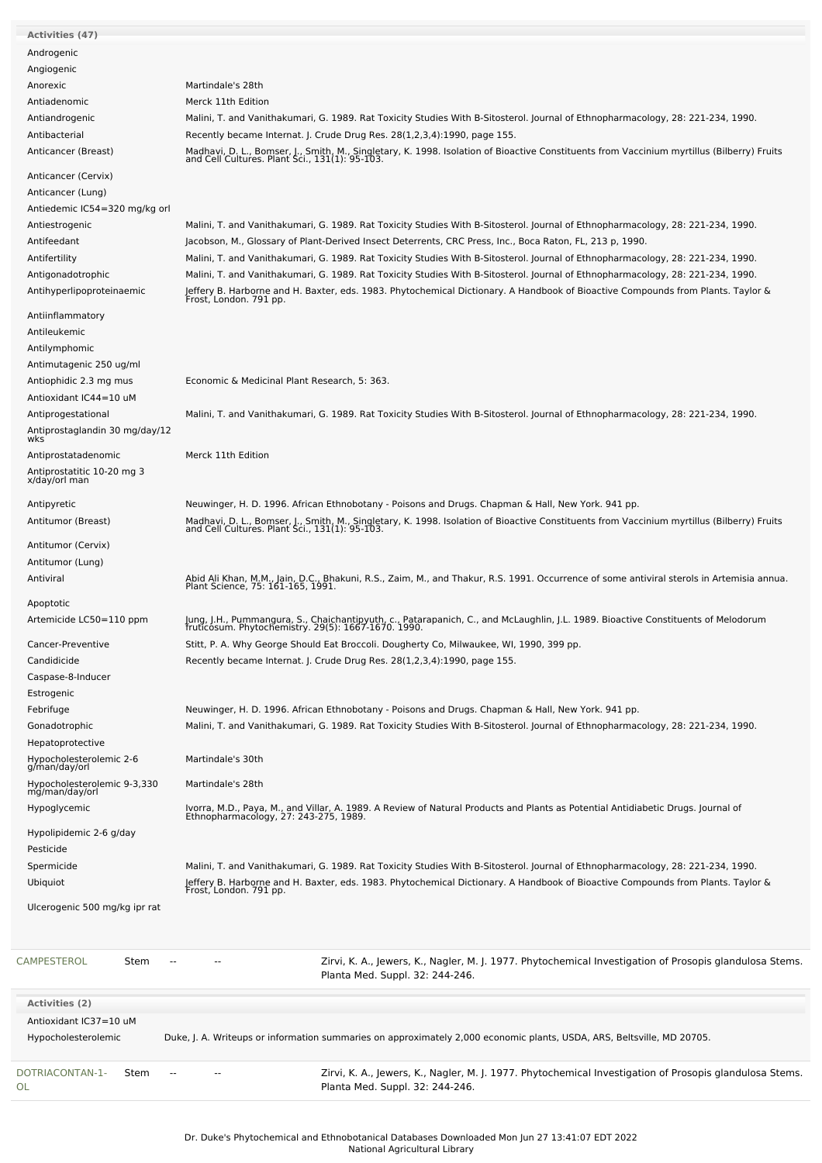| <b>Activities (47)</b>                   |                                                                                                                                                                                              |
|------------------------------------------|----------------------------------------------------------------------------------------------------------------------------------------------------------------------------------------------|
|                                          |                                                                                                                                                                                              |
| Androgenic                               |                                                                                                                                                                                              |
| Angiogenic                               |                                                                                                                                                                                              |
| Anorexic                                 | Martindale's 28th                                                                                                                                                                            |
| Antiadenomic                             | Merck 11th Edition                                                                                                                                                                           |
| Antiandrogenic                           | Malini, T. and Vanithakumari, G. 1989. Rat Toxicity Studies With B-Sitosterol. Journal of Ethnopharmacology, 28: 221-234, 1990.                                                              |
| Antibacterial                            | Recently became Internat. J. Crude Drug Res. 28(1,2,3,4):1990, page 155.                                                                                                                     |
| Anticancer (Breast)                      |                                                                                                                                                                                              |
|                                          | Madhavi, D. L., Bomser, J., Smith, M., Singletary, K. 1998. Isolation of Bioactive Constituents from Vaccinium myrtillus (Bilberry) Fruits and Cell Cultures. Plant Sci., 131(1): 95-103.    |
| Anticancer (Cervix)                      |                                                                                                                                                                                              |
| Anticancer (Lung)                        |                                                                                                                                                                                              |
| Antiedemic IC54=320 mg/kg orl            |                                                                                                                                                                                              |
| Antiestrogenic                           | Malini, T. and Vanithakumari, G. 1989. Rat Toxicity Studies With B-Sitosterol. Journal of Ethnopharmacology, 28: 221-234, 1990.                                                              |
| Antifeedant                              |                                                                                                                                                                                              |
|                                          | Jacobson, M., Glossary of Plant-Derived Insect Deterrents, CRC Press, Inc., Boca Raton, FL, 213 p, 1990.                                                                                     |
| Antifertility                            | Malini, T. and Vanithakumari, G. 1989. Rat Toxicity Studies With B-Sitosterol. Journal of Ethnopharmacology, 28: 221-234, 1990.                                                              |
| Antigonadotrophic                        | Malini, T. and Vanithakumari, G. 1989. Rat Toxicity Studies With B-Sitosterol. Journal of Ethnopharmacology, 28: 221-234, 1990.                                                              |
| Antihyperlipoproteinaemic                | Jeffery B. Harborne and H. Baxter, eds. 1983. Phytochemical Dictionary. A Handbook of Bioactive Compounds from Plants. Taylor &<br>Frost, London. 791 pp.                                    |
|                                          |                                                                                                                                                                                              |
| Antiinflammatory                         |                                                                                                                                                                                              |
| Antileukemic                             |                                                                                                                                                                                              |
| Antilymphomic                            |                                                                                                                                                                                              |
| Antimutagenic 250 ug/ml                  |                                                                                                                                                                                              |
| Antiophidic 2.3 mg mus                   | Economic & Medicinal Plant Research, 5: 363.                                                                                                                                                 |
| Antioxidant IC44=10 uM                   |                                                                                                                                                                                              |
| Antiprogestational                       | Malini, T. and Vanithakumari, G. 1989. Rat Toxicity Studies With B-Sitosterol. Journal of Ethnopharmacology, 28: 221-234, 1990.                                                              |
| Antiprostaglandin 30 mg/day/12           |                                                                                                                                                                                              |
| wks                                      |                                                                                                                                                                                              |
| Antiprostatadenomic                      | Merck 11th Edition                                                                                                                                                                           |
| Antiprostatitic 10-20 mg 3               |                                                                                                                                                                                              |
| x/day/orl man                            |                                                                                                                                                                                              |
| Antipyretic                              | Neuwinger, H. D. 1996. African Ethnobotany - Poisons and Drugs. Chapman & Hall, New York. 941 pp.                                                                                            |
| Antitumor (Breast)                       |                                                                                                                                                                                              |
|                                          | Madhavi, D. L., Bomser, J., Smith, M., Singletary, K. 1998. Isolation of Bioactive Constituents from Vaccinium myrtillus (Bilberry) Fruits<br>and Cell Cultures. Plant Sci., 131(1): 95-103. |
| Antitumor (Cervix)                       |                                                                                                                                                                                              |
| Antitumor (Lung)                         |                                                                                                                                                                                              |
| Antiviral                                | Abid Ali Khan, M.M., Jain, D.C., Bhakuni, R.S., Zaim, M., and Thakur, R.S. 1991. Occurrence of some antiviral sterols in Artemisia annua.<br>Plant Science, 75: 161-165, 1991.               |
|                                          |                                                                                                                                                                                              |
| Apoptotic                                |                                                                                                                                                                                              |
| Artemicide LC50=110 ppm                  |                                                                                                                                                                                              |
|                                          |                                                                                                                                                                                              |
|                                          | Jung, J.H., Pummangura, S., Chaichantipyuth, c., Patarapanich, C., and McLaughlin, J.L. 1989. Bioactive Constituents of Melodorum<br>fruticosum. Phytochemistry. 29(5): 1667-1670. 1990.     |
| Cancer-Preventive                        | Stitt, P. A. Why George Should Eat Broccoli. Dougherty Co, Milwaukee, WI, 1990, 399 pp.                                                                                                      |
| Candidicide                              | Recently became Internat. J. Crude Drug Res. 28(1,2,3,4):1990, page 155.                                                                                                                     |
| Caspase-8-Inducer                        |                                                                                                                                                                                              |
| Estrogenic                               |                                                                                                                                                                                              |
| Febrifuge                                | Neuwinger, H. D. 1996. African Ethnobotany - Poisons and Drugs. Chapman & Hall, New York. 941 pp.                                                                                            |
|                                          | Malini, T. and Vanithakumari, G. 1989. Rat Toxicity Studies With B-Sitosterol. Journal of Ethnopharmacology, 28: 221-234, 1990.                                                              |
| Gonadotrophic                            |                                                                                                                                                                                              |
| Hepatoprotective                         |                                                                                                                                                                                              |
| Hypocholesterolemic 2-6<br>g/man/day/orl | Martindale's 30th                                                                                                                                                                            |
| Hypocholesterolemic 9-3,330              | Martindale's 28th                                                                                                                                                                            |
| mg/man/day/orl                           |                                                                                                                                                                                              |
| Hypoglycemic                             |                                                                                                                                                                                              |
|                                          | Ivorra, M.D., Paya, M., and Villar, A. 1989. A Review of Natural Products and Plants as Potential Antidiabetic Drugs. Journal of<br>Ethnopharmacology, 27: 243-275, 1989.                    |
| Hypolipidemic 2-6 g/day                  |                                                                                                                                                                                              |
| Pesticide                                |                                                                                                                                                                                              |
| Spermicide                               | Malini, T. and Vanithakumari, G. 1989. Rat Toxicity Studies With B-Sitosterol. Journal of Ethnopharmacology, 28: 221-234, 1990.                                                              |
| Ubiquiot                                 | Jeffery B. Harborne and H. Baxter, eds. 1983. Phytochemical Dictionary. A Handbook of Bioactive Compounds from Plants. Taylor &<br>Frost, London. 791 pp.                                    |
| Ulcerogenic 500 mg/kg ipr rat            |                                                                                                                                                                                              |
|                                          |                                                                                                                                                                                              |
|                                          |                                                                                                                                                                                              |
|                                          |                                                                                                                                                                                              |
| <b>CAMPESTEROL</b><br>Stem               | Zirvi, K. A., Jewers, K., Nagler, M. J. 1977. Phytochemical Investigation of Prosopis glandulosa Stems.<br>Planta Med. Suppl. 32: 244-246.                                                   |
|                                          |                                                                                                                                                                                              |
| <b>Activities (2)</b>                    |                                                                                                                                                                                              |
| Antioxidant IC37=10 uM                   |                                                                                                                                                                                              |
| Hypocholesterolemic                      | Duke, J. A. Writeups or information summaries on approximately 2,000 economic plants, USDA, ARS, Beltsville, MD 20705.                                                                       |
|                                          |                                                                                                                                                                                              |
| DOTRIACONTAN-1-<br>Stem<br>OL            | Zirvi, K. A., Jewers, K., Nagler, M. J. 1977. Phytochemical Investigation of Prosopis glandulosa Stems.<br>Planta Med. Suppl. 32: 244-246.                                                   |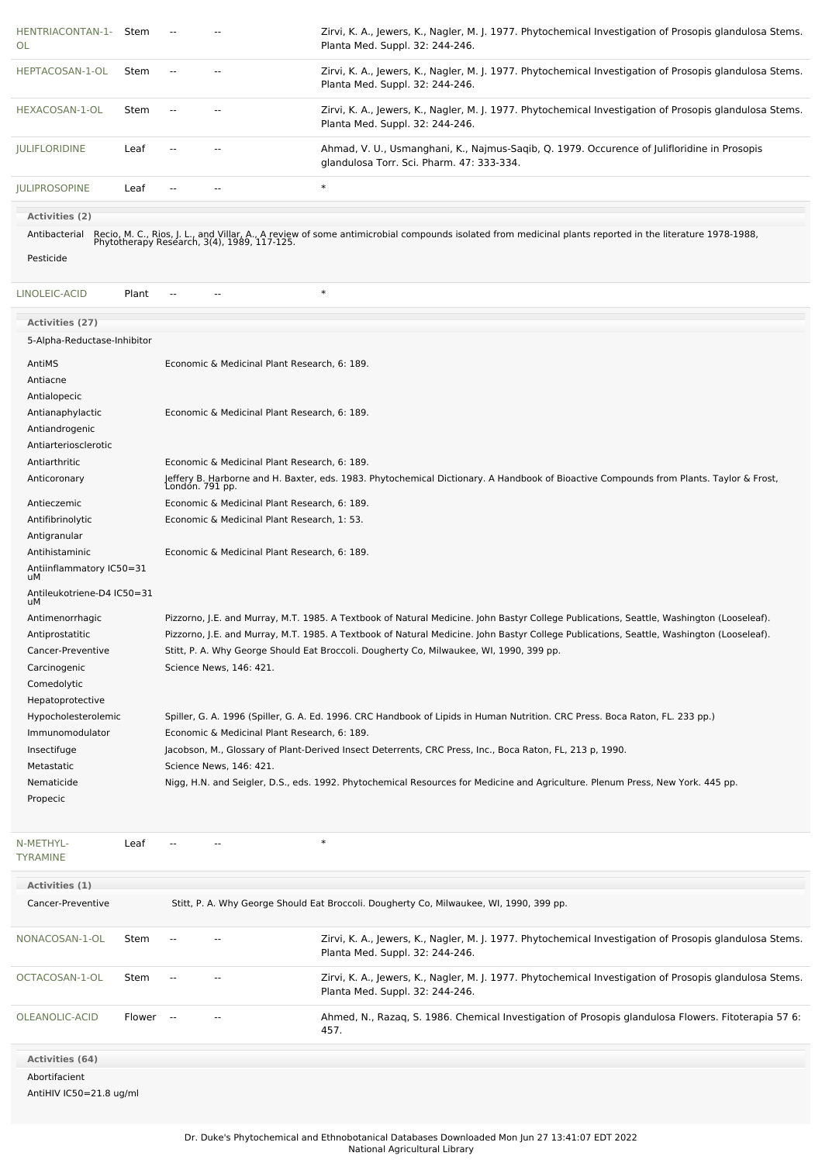| HENTRIACONTAN-1-<br>OL                              | Stem                                                            |  |                                              | Zirvi, K. A., Jewers, K., Nagler, M. J. 1977. Phytochemical Investigation of Prosopis glandulosa Stems.<br>Planta Med. Suppl. 32: 244-246.                                                           |  |
|-----------------------------------------------------|-----------------------------------------------------------------|--|----------------------------------------------|------------------------------------------------------------------------------------------------------------------------------------------------------------------------------------------------------|--|
| HEPTACOSAN-1-OL                                     | Stem                                                            |  |                                              | Zirvi, K. A., Jewers, K., Nagler, M. J. 1977. Phytochemical Investigation of Prosopis glandulosa Stems.<br>Planta Med. Suppl. 32: 244-246.                                                           |  |
| HEXACOSAN-1-OL                                      | Stem                                                            |  |                                              | Zirvi, K. A., Jewers, K., Nagler, M. J. 1977. Phytochemical Investigation of Prosopis glandulosa Stems.<br>Planta Med. Suppl. 32: 244-246.                                                           |  |
| <b>JULIFLORIDINE</b>                                | Leaf                                                            |  | --                                           | Ahmad, V. U., Usmanghani, K., Najmus-Saqib, Q. 1979. Occurence of Julifloridine in Prosopis<br>glandulosa Torr. Sci. Pharm. 47: 333-334.                                                             |  |
| <b>JULIPROSOPINE</b>                                | Leaf                                                            |  |                                              | $\ast$                                                                                                                                                                                               |  |
| <b>Activities (2)</b><br>Antibacterial<br>Pesticide |                                                                 |  |                                              | Recio, M. C., Rios, J. L., and Villar, A., A review of some antimicrobial compounds isolated from medicinal plants reported in the literature 1978-1988, Phytotherapy Research, 3(4), 1989, 117-125. |  |
| LINOLEIC-ACID                                       | Plant                                                           |  |                                              | $\ast$                                                                                                                                                                                               |  |
| <b>Activities (27)</b>                              |                                                                 |  |                                              |                                                                                                                                                                                                      |  |
| 5-Alpha-Reductase-Inhibitor                         |                                                                 |  |                                              |                                                                                                                                                                                                      |  |
| AntiMS                                              |                                                                 |  | Economic & Medicinal Plant Research, 6: 189. |                                                                                                                                                                                                      |  |
| Antiacne                                            |                                                                 |  |                                              |                                                                                                                                                                                                      |  |
| Antialopecic                                        |                                                                 |  |                                              |                                                                                                                                                                                                      |  |
| Antianaphylactic                                    |                                                                 |  | Economic & Medicinal Plant Research, 6: 189. |                                                                                                                                                                                                      |  |
| Antiandrogenic<br>Antiarteriosclerotic              |                                                                 |  |                                              |                                                                                                                                                                                                      |  |
| Antiarthritic                                       |                                                                 |  | Economic & Medicinal Plant Research, 6: 189. |                                                                                                                                                                                                      |  |
| Anticoronary                                        |                                                                 |  |                                              |                                                                                                                                                                                                      |  |
|                                                     |                                                                 |  |                                              | Jeffery B. Harborne and H. Baxter, eds. 1983. Phytochemical Dictionary. A Handbook of Bioactive Compounds from Plants. Taylor & Frost,<br>London. 791 pp.                                            |  |
| Antieczemic                                         |                                                                 |  | Economic & Medicinal Plant Research, 6: 189. |                                                                                                                                                                                                      |  |
|                                                     | Antifibrinolytic<br>Economic & Medicinal Plant Research, 1: 53. |  |                                              |                                                                                                                                                                                                      |  |
| Antigranular<br>Antihistaminic                      |                                                                 |  | Economic & Medicinal Plant Research, 6: 189. |                                                                                                                                                                                                      |  |
| Antiinflammatory IC50=31                            |                                                                 |  |                                              |                                                                                                                                                                                                      |  |
| uМ<br>Antileukotriene-D4 IC50=31<br>uМ              |                                                                 |  |                                              |                                                                                                                                                                                                      |  |
| Antimenorrhagic                                     |                                                                 |  |                                              | Pizzorno, J.E. and Murray, M.T. 1985. A Textbook of Natural Medicine. John Bastyr College Publications, Seattle, Washington (Looseleaf).                                                             |  |
| Antiprostatitic                                     |                                                                 |  |                                              | Pizzorno, J.E. and Murray, M.T. 1985. A Textbook of Natural Medicine. John Bastyr College Publications, Seattle, Washington (Looseleaf).                                                             |  |
| Cancer-Preventive                                   |                                                                 |  |                                              | Stitt, P. A. Why George Should Eat Broccoli. Dougherty Co, Milwaukee, WI, 1990, 399 pp.                                                                                                              |  |
| Carcinogenic                                        |                                                                 |  | Science News, 146: 421.                      |                                                                                                                                                                                                      |  |
| Comedolytic                                         |                                                                 |  |                                              |                                                                                                                                                                                                      |  |
| Hepatoprotective                                    |                                                                 |  |                                              |                                                                                                                                                                                                      |  |
| Hypocholesterolemic                                 |                                                                 |  |                                              | Spiller, G. A. 1996 (Spiller, G. A. Ed. 1996. CRC Handbook of Lipids in Human Nutrition. CRC Press. Boca Raton, FL. 233 pp.)                                                                         |  |
| Immunomodulator                                     |                                                                 |  | Economic & Medicinal Plant Research, 6: 189. |                                                                                                                                                                                                      |  |
| Insectifuge<br>Metastatic                           |                                                                 |  | Science News, 146: 421.                      | Jacobson, M., Glossary of Plant-Derived Insect Deterrents, CRC Press, Inc., Boca Raton, FL, 213 p, 1990.                                                                                             |  |
| Nematicide                                          |                                                                 |  |                                              | Nigg, H.N. and Seigler, D.S., eds. 1992. Phytochemical Resources for Medicine and Agriculture. Plenum Press, New York. 445 pp.                                                                       |  |
| Propecic                                            |                                                                 |  |                                              |                                                                                                                                                                                                      |  |
|                                                     |                                                                 |  |                                              |                                                                                                                                                                                                      |  |
| N-METHYL-<br><b>TYRAMINE</b>                        | Leaf                                                            |  |                                              | $\ast$                                                                                                                                                                                               |  |
| Activities (1)                                      |                                                                 |  |                                              |                                                                                                                                                                                                      |  |
| Cancer-Preventive                                   |                                                                 |  |                                              | Stitt, P. A. Why George Should Eat Broccoli. Dougherty Co, Milwaukee, WI, 1990, 399 pp.                                                                                                              |  |
| NONACOSAN-1-OL                                      | Stem                                                            |  |                                              | Zirvi, K. A., Jewers, K., Nagler, M. J. 1977. Phytochemical Investigation of Prosopis glandulosa Stems.<br>Planta Med. Suppl. 32: 244-246.                                                           |  |
| OCTACOSAN-1-OL                                      | Stem                                                            |  |                                              | Zirvi, K. A., Jewers, K., Nagler, M. J. 1977. Phytochemical Investigation of Prosopis glandulosa Stems.<br>Planta Med. Suppl. 32: 244-246.                                                           |  |

**Activities (64)** Abortifacient

AntiHIV IC50=21.8 ug/ml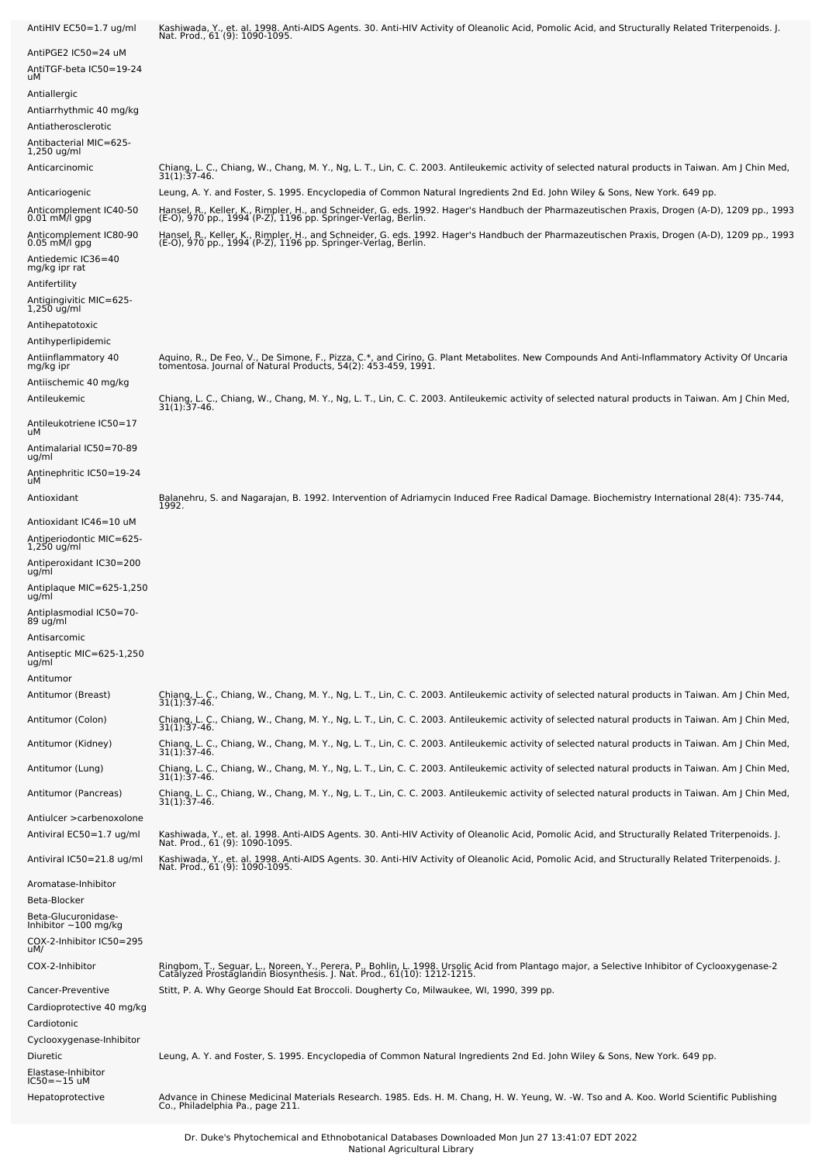| AntiHIV EC50=1.7 ug/ml                                       | Kashiwada, Y., et. al. 1998. Anti-AIDS Agents. 30. Anti-HIV Activity of Oleanolic Acid, Pomolic Acid, and Structurally Related Triterpenoids. J.<br>Nat. Prod., 61 (9): 1090-1095.                                                                                                                                     |
|--------------------------------------------------------------|------------------------------------------------------------------------------------------------------------------------------------------------------------------------------------------------------------------------------------------------------------------------------------------------------------------------|
| AntiPGE2 IC50=24 uM<br>AntiTGF-beta IC50=19-24<br>uМ         |                                                                                                                                                                                                                                                                                                                        |
| Antiallergic                                                 |                                                                                                                                                                                                                                                                                                                        |
| Antiarrhythmic 40 mg/kg                                      |                                                                                                                                                                                                                                                                                                                        |
| Antiatherosclerotic<br>-Antibacterial MIC=625<br>1,250 ug/ml |                                                                                                                                                                                                                                                                                                                        |
| Anticarcinomic                                               | Chiang, L. C., Chiang, W., Chang, M. Y., Ng, L. T., Lin, C. C. 2003. Antileukemic activity of selected natural products in Taiwan. Am J Chin Med,<br>$31(1):37-46.$                                                                                                                                                    |
| Anticariogenic                                               | Leung, A. Y. and Foster, S. 1995. Encyclopedia of Common Natural Ingredients 2nd Ed. John Wiley & Sons, New York. 649 pp.                                                                                                                                                                                              |
| Anticomplement IC40-50<br>0.01 mM/l gpg                      | Hansel, R., Keller, K., Rimpler, H., and Schneider, G. eds. 1992. Hager's Handbuch der Pharmazeutischen Praxis, Drogen (A-D), 1209 pp., 1993<br>(E-O), 970 pp., 1994 (P-Z), 1196 pp. Springer-Verlag, Berlin.                                                                                                          |
| Anticomplement IC80-90<br>$0.05$ mM/l gpg                    | Hansel, R., Keller, K., Rimpler, H., and Schneider, G. eds. 1992. Hager's Handbuch der Pharmazeutischen Praxis, Drogen (A-D), 1209 pp., 1993<br>(E-O), 970 pp., 1994 (P-Z), 1196 pp. Springer-Verlag, Berlin.                                                                                                          |
| Antiedemic IC36=40<br>mg/kg ipr rat                          |                                                                                                                                                                                                                                                                                                                        |
| Antifertility                                                |                                                                                                                                                                                                                                                                                                                        |
| Antigingivitic MIC=625-<br>$1,250$ ug/ml                     |                                                                                                                                                                                                                                                                                                                        |
| Antihepatotoxic                                              |                                                                                                                                                                                                                                                                                                                        |
| Antihyperlipidemic<br>Antiinflammatory 40                    | Aquino, R., De Feo, V., De Simone, F., Pizza, C.*, and Cirino, G. Plant Metabolites. New Compounds And Anti-Inflammatory Activity Of Uncaria                                                                                                                                                                           |
| mg/kg ipr                                                    | tomentosa. Journal of Natural Products, 54(2): 453-459, 1991.                                                                                                                                                                                                                                                          |
| Antiischemic 40 mg/kg<br>Antileukemic                        | Chiang, L. C., Chiang, W., Chang, M. Y., Ng, L. T., Lin, C. C. 2003. Antileukemic activity of selected natural products in Taiwan. Am J Chin Med,                                                                                                                                                                      |
| Antileukotriene IC50=17                                      | $31(1)$ : 37-46.                                                                                                                                                                                                                                                                                                       |
| uМ<br>Antimalarial IC50=70-89                                |                                                                                                                                                                                                                                                                                                                        |
| ug/ml                                                        |                                                                                                                                                                                                                                                                                                                        |
| Antinephritic IC50=19-24<br>uМ                               |                                                                                                                                                                                                                                                                                                                        |
| Antioxidant                                                  | Balanehru, S. and Nagarajan, B. 1992. Intervention of Adriamycin Induced Free Radical Damage. Biochemistry International 28(4): 735-744,<br>1992.                                                                                                                                                                      |
| Antioxidant IC46=10 uM<br>Antiperiodontic MIC=625-           |                                                                                                                                                                                                                                                                                                                        |
| $1,250$ ug/ml                                                |                                                                                                                                                                                                                                                                                                                        |
| Antiperoxidant IC30=200<br>ug/ml                             |                                                                                                                                                                                                                                                                                                                        |
| Antiplaque MIC=625-1,250<br>ug/ml                            |                                                                                                                                                                                                                                                                                                                        |
| Antiplasmodial IC50=70-<br>89 ug/ml                          |                                                                                                                                                                                                                                                                                                                        |
| Antisarcomic                                                 |                                                                                                                                                                                                                                                                                                                        |
| Antiseptic MIC=625-1,250<br>ug/ml                            |                                                                                                                                                                                                                                                                                                                        |
| Antitumor<br>Antitumor (Breast)                              | Chiang, L. C., Chiang, W., Chang, M. Y., Ng, L. T., Lin, C. C. 2003. Antileukemic activity of selected natural products in Taiwan. Am J Chin Med,                                                                                                                                                                      |
| Antitumor (Colon)                                            | $31(1):37-46.$                                                                                                                                                                                                                                                                                                         |
| Antitumor (Kidney)                                           | Chiang, L. C., Chiang, W., Chang, M. Y., Ng, L. T., Lin, C. C. 2003. Antileukemic activity of selected natural products in Taiwan. Am J Chin Med,<br>31(1):37-46.<br>Chiang, L. C., Chiang, W., Chang, M. Y., Ng, L. T., Lin, C. C. 2003. Antileukemic activity of selected natural products in Taiwan. Am J Chin Med, |
|                                                              | $31(1):37-46.$<br>Chiang, L. C., Chiang, W., Chang, M. Y., Ng, L. T., Lin, C. C. 2003. Antileukemic activity of selected natural products in Taiwan. Am J Chin Med,                                                                                                                                                    |
| Antitumor (Lung)                                             | $31(1):37-46.$                                                                                                                                                                                                                                                                                                         |
| Antitumor (Pancreas)                                         | Chiang, L. C., Chiang, W., Chang, M. Y., Ng, L. T., Lin, C. C. 2003. Antileukemic activity of selected natural products in Taiwan. Am J Chin Med,<br>31(1):37-46.                                                                                                                                                      |
| Antiulcer > carbenoxolone<br>Antiviral EC50=1.7 ug/ml        | Kashiwada, Y., et. al. 1998. Anti-AIDS Agents. 30. Anti-HIV Activity of Oleanolic Acid, Pomolic Acid, and Structurally Related Triterpenoids. J.<br>Nat. Prod., 61 (9): 1090-1095.                                                                                                                                     |
| Antiviral IC50=21.8 ug/ml                                    | Kashiwada, Y., et. al. 1998. Anti-AIDS Agents. 30. Anti-HIV Activity of Oleanolic Acid, Pomolic Acid, and Structurally Related Triterpenoids. J.<br>Nat. Prod., 61 (9): 1090-1095.                                                                                                                                     |
| Aromatase-Inhibitor<br>Beta-Blocker                          |                                                                                                                                                                                                                                                                                                                        |
| Beta-Glucuronidase-<br>Inhibitor $\sim$ 100 mg/kg            |                                                                                                                                                                                                                                                                                                                        |
| COX-2-Inhibitor IC50=295<br>uM/                              |                                                                                                                                                                                                                                                                                                                        |
| COX-2-Inhibitor                                              | Ringbom, T., Seguar, L., Noreen, Y., Perera, P., Bohlin, L. 1998. Ursolic Acid from Plantago major, a Selective Inhibitor of Cyclooxygenase-2<br>Catalyzed Prostaglandin Biosynthesis. J. Nat. Prod., 61(10): 1212-1215.                                                                                               |
| Cancer-Preventive                                            | Stitt, P. A. Why George Should Eat Broccoli. Dougherty Co, Milwaukee, WI, 1990, 399 pp.                                                                                                                                                                                                                                |
| Cardioprotective 40 mg/kg                                    |                                                                                                                                                                                                                                                                                                                        |
| Cardiotonic<br>Cyclooxygenase-Inhibitor                      |                                                                                                                                                                                                                                                                                                                        |
| Diuretic                                                     | Leung, A. Y. and Foster, S. 1995. Encyclopedia of Common Natural Ingredients 2nd Ed. John Wiley & Sons, New York. 649 pp.                                                                                                                                                                                              |
| Elastase-Inhibitor<br>IC50=~15 uM                            |                                                                                                                                                                                                                                                                                                                        |
| Hepatoprotective                                             | Advance in Chinese Medicinal Materials Research. 1985. Eds. H. M. Chang, H. W. Yeung, W. -W. Tso and A. Koo. World Scientific Publishing<br>Co., Philadelphia Pa., page 211.                                                                                                                                           |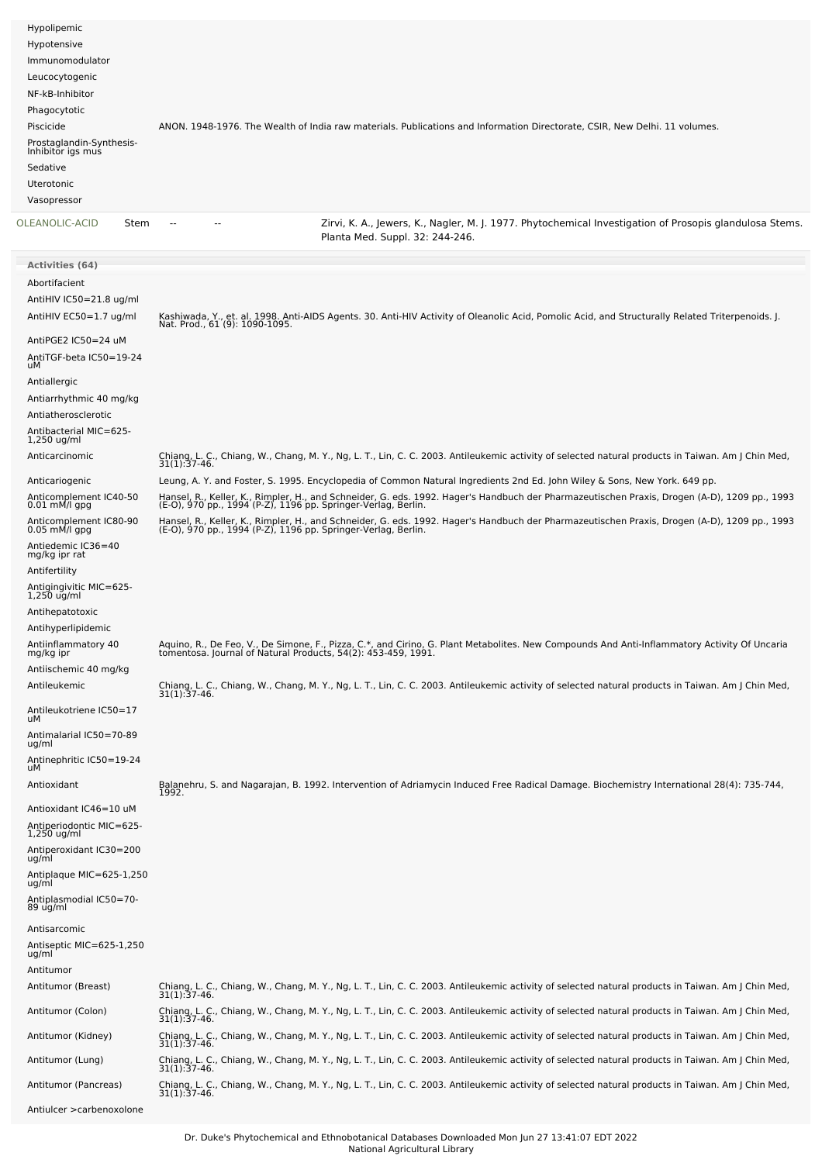| Hypolipemic                                   |                                                                                                                            |
|-----------------------------------------------|----------------------------------------------------------------------------------------------------------------------------|
| Hypotensive                                   |                                                                                                                            |
| Immunomodulator                               |                                                                                                                            |
| Leucocytogenic                                |                                                                                                                            |
| NF-kB-Inhibitor                               |                                                                                                                            |
| Phagocytotic                                  |                                                                                                                            |
| Piscicide                                     | ANON. 1948-1976. The Wealth of India raw materials. Publications and Information Directorate, CSIR, New Delhi. 11 volumes. |
| Prostaglandin-Synthesis-<br>Inhibitor igs mus |                                                                                                                            |
| Sedative                                      |                                                                                                                            |
| <b>Uterotonic</b>                             |                                                                                                                            |
| Vasopressor                                   |                                                                                                                            |
| OLEANOLIC-ACID<br>Stem                        | Zirvi, K. A., Jewers, K., Nagler, M. J. 1977. Phytochemical Investigation of Prosopis glandulosa Stems.<br>$- -$           |

|                                                      | Planta Med. Suppl. 32: 244-246.                                                                                                                                                                               |
|------------------------------------------------------|---------------------------------------------------------------------------------------------------------------------------------------------------------------------------------------------------------------|
| Activities (64)                                      |                                                                                                                                                                                                               |
| Abortifacient<br>AntiHIV IC50=21.8 ug/ml             |                                                                                                                                                                                                               |
| AntiHIV EC50=1.7 ug/ml                               | Kashiwada, Y., et. al. 1998. Anti-AIDS Agents. 30. Anti-HIV Activity of Oleanolic Acid, Pomolic Acid, and Structurally Related Triterpenoids. J.<br>Nat. Prod., 61 (9): 1090-1095.                            |
| AntiPGE2 IC50=24 uM                                  |                                                                                                                                                                                                               |
| AntiTGF-beta IC50=19-24<br>uМ<br>Antiallergic        |                                                                                                                                                                                                               |
| Antiarrhythmic 40 mg/kg                              |                                                                                                                                                                                                               |
| Antiatherosclerotic                                  |                                                                                                                                                                                                               |
| Antibacterial MIC=625-<br>1,250 ug/ml                |                                                                                                                                                                                                               |
| Anticarcinomic                                       | Chiang, L. C., Chiang, W., Chang, M. Y., Ng, L. T., Lin, C. C. 2003. Antileukemic activity of selected natural products in Taiwan. Am J Chin Med, 31(1):37-46.                                                |
| Anticariogenic                                       | Leung, A. Y. and Foster, S. 1995. Encyclopedia of Common Natural Ingredients 2nd Ed. John Wiley & Sons, New York. 649 pp.                                                                                     |
| Anticomplement IC40-50<br>0.01 mM/l gpg              | Hansel, R., Keller, K., Rimpler, H., and Schneider, G. eds. 1992. Hager's Handbuch der Pharmazeutischen Praxis, Drogen (A-D), 1209 pp., 1993<br>(E-O), 970 pp., 1994 (P-Z), 1196 pp. Springer-Verlag, Berlin. |
| Anticomplement IC80-90<br>0.05 mM/l gpg              | Hansel, R., Keller, K., Rimpler, H., and Schneider, G. eds. 1992. Hager's Handbuch der Pharmazeutischen Praxis, Drogen (A-D), 1209 pp., 1993<br>(E-O), 970 pp., 1994 (P-Z), 1196 pp. Springer-Verlag, Berlin. |
| Antiedemic IC36=40<br>mg/kg ipr rat<br>Antifertility |                                                                                                                                                                                                               |
| Antigingivitic MIC=625-<br>1,250 ug/ml               |                                                                                                                                                                                                               |
| Antihepatotoxic                                      |                                                                                                                                                                                                               |
| Antihyperlipidemic                                   |                                                                                                                                                                                                               |
| Antiinflammatory 40<br>mg/kg ipr                     | Aquino, R., De Feo, V., De Simone, F., Pizza, C.*, and Cirino, G. Plant Metabolites. New Compounds And Anti-Inflammatory Activity Of Uncaria<br>tomentosa. Journal of Natural Products, 54(2): 453-459, 1991. |
| Antiischemic 40 mg/kg                                |                                                                                                                                                                                                               |
| Antileukemic                                         | Chiang, L. C., Chiang, W., Chang, M. Y., Ng, L. T., Lin, C. C. 2003. Antileukemic activity of selected natural products in Taiwan. Am J Chin Med,<br>31(1):37-46.                                             |
| Antileukotriene IC50=17<br>uМ                        |                                                                                                                                                                                                               |
| Antimalarial IC50=70-89<br>ug/ml                     |                                                                                                                                                                                                               |
| Antinephritic IC50=19-24<br>uМ                       |                                                                                                                                                                                                               |
| Antioxidant                                          | Balanehru, S. and Nagarajan, B. 1992. Intervention of Adriamycin Induced Free Radical Damage. Biochemistry International 28(4): 735-744,<br>1992.                                                             |
| Antioxidant IC46=10 uM                               |                                                                                                                                                                                                               |
| Antiperiodontic MIC=625-<br>$1,250$ ug/ml            |                                                                                                                                                                                                               |
| Antiperoxidant IC30=200<br>ug/ml                     |                                                                                                                                                                                                               |
| Antiplaque MIC=625-1,250<br>ug/ml                    |                                                                                                                                                                                                               |
| Antiplasmodial IC50=70-<br>89 ug/ml                  |                                                                                                                                                                                                               |
| Antisarcomic                                         |                                                                                                                                                                                                               |
| Antiseptic MIC=625-1,250<br>ug/ml                    |                                                                                                                                                                                                               |
| Antitumor                                            |                                                                                                                                                                                                               |
| Antitumor (Breast)                                   | Chiang, L. C., Chiang, W., Chang, M. Y., Ng, L. T., Lin, C. C. 2003. Antileukemic activity of selected natural products in Taiwan. Am J Chin Med,<br>$31(1):37-46.$                                           |
| Antitumor (Colon)                                    | Chiang, L. C., Chiang, W., Chang, M. Y., Ng, L. T., Lin, C. C. 2003. Antileukemic activity of selected natural products in Taiwan. Am J Chin Med,<br>31(1):37-46.                                             |
| Antitumor (Kidney)                                   | Chiang, L. C., Chiang, W., Chang, M. Y., Ng, L. T., Lin, C. C. 2003. Antileukemic activity of selected natural products in Taiwan. Am J Chin Med,<br>31(1):37-46.                                             |
| Antitumor (Lung)                                     | Chiang, L. C., Chiang, W., Chang, M. Y., Ng, L. T., Lin, C. C. 2003. Antileukemic activity of selected natural products in Taiwan. Am J Chin Med,<br>31(1):37-46.                                             |
| Antitumor (Pancreas)                                 | Chiang, L. C., Chiang, W., Chang, M. Y., Ng, L. T., Lin, C. C. 2003. Antileukemic activity of selected natural products in Taiwan. Am J Chin Med,<br>31(1):37-46.                                             |
| Antiulcer > carbenoxolone                            |                                                                                                                                                                                                               |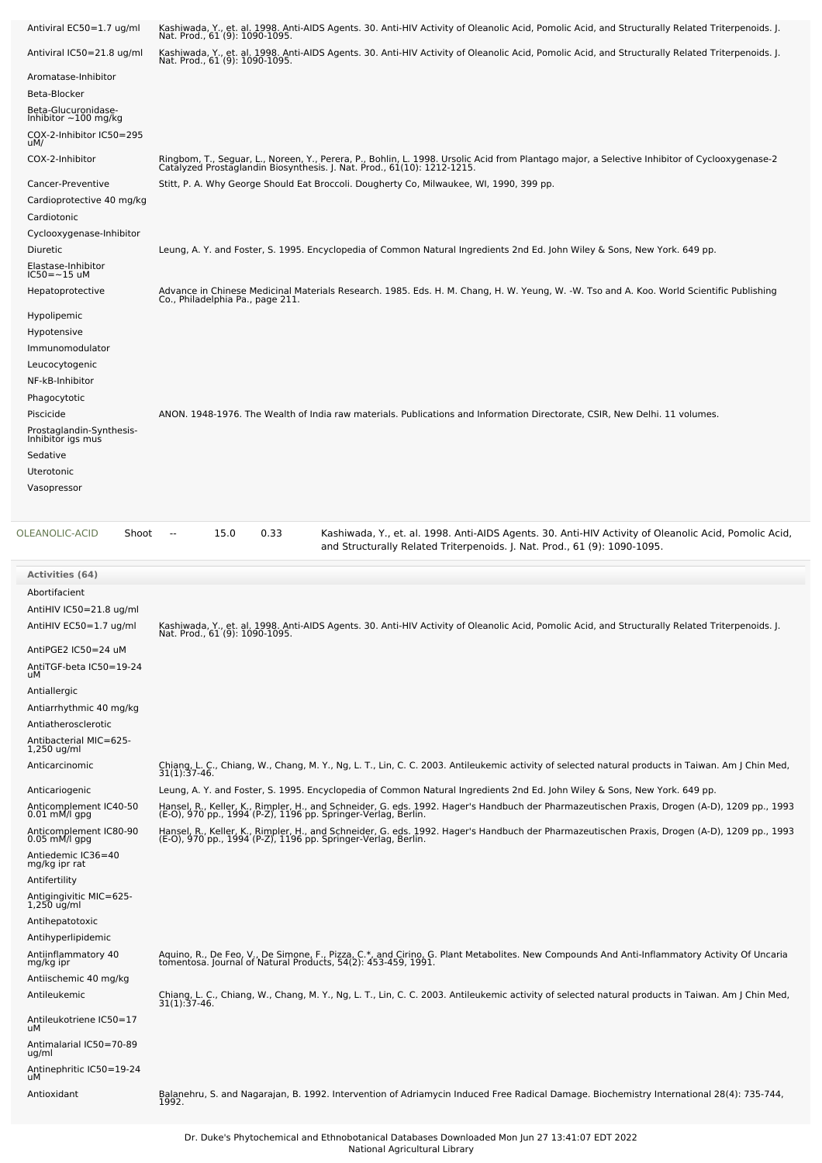| Antiviral EC50=1.7 ug/ml                                     | Kashiwada, Y., et. al. 1998. Anti-AIDS Agents. 30. Anti-HIV Activity of Oleanolic Acid, Pomolic Acid, and Structurally Related Triterpenoids. J.<br>Nat. Prod., 61 (9): 1090-1095.                                                                                             |
|--------------------------------------------------------------|--------------------------------------------------------------------------------------------------------------------------------------------------------------------------------------------------------------------------------------------------------------------------------|
| Antiviral IC50=21.8 ug/ml                                    | Kashiwada, Y., et. al. 1998. Anti-AIDS Agents. 30. Anti-HIV Activity of Oleanolic Acid, Pomolic Acid, and Structurally Related Triterpenoids. J.<br>Nat. Prod., 61 (9): 1090-1095.                                                                                             |
| Aromatase-Inhibitor                                          |                                                                                                                                                                                                                                                                                |
| Beta-Blocker                                                 |                                                                                                                                                                                                                                                                                |
| Beta-Glucuronidase-<br>Inhibitor $\sim$ 100 mg/kg            |                                                                                                                                                                                                                                                                                |
| COX-2-Inhibitor IC50=295<br>uM/                              |                                                                                                                                                                                                                                                                                |
| COX-2-Inhibitor                                              | Ringbom, T., Seguar, L., Noreen, Y., Perera, P., Bohlin, L. 1998. Ursolic Acid from Plantago major, a Selective Inhibitor of Cyclooxygenase-2<br>Catalyzed Prostaglandin Biosynthesis. J. Nat. Prod., 61(10): 1212-1215.                                                       |
| Cancer-Preventive                                            | Stitt, P. A. Why George Should Eat Broccoli. Dougherty Co, Milwaukee, WI, 1990, 399 pp.                                                                                                                                                                                        |
| Cardioprotective 40 mg/kg                                    |                                                                                                                                                                                                                                                                                |
| Cardiotonic                                                  |                                                                                                                                                                                                                                                                                |
| Cyclooxygenase-Inhibitor                                     |                                                                                                                                                                                                                                                                                |
| Diuretic                                                     | Leung, A. Y. and Foster, S. 1995. Encyclopedia of Common Natural Ingredients 2nd Ed. John Wiley & Sons, New York. 649 pp.                                                                                                                                                      |
| Elastase-Inhibitor<br>IC50=~15 uM                            |                                                                                                                                                                                                                                                                                |
| Hepatoprotective                                             | Advance in Chinese Medicinal Materials Research. 1985. Eds. H. M. Chang, H. W. Yeung, W. -W. Tso and A. Koo. World Scientific Publishing<br>Co., Philadelphia Pa., page 211.                                                                                                   |
| Hypolipemic                                                  |                                                                                                                                                                                                                                                                                |
| Hypotensive<br>Immunomodulator                               |                                                                                                                                                                                                                                                                                |
| Leucocytogenic                                               |                                                                                                                                                                                                                                                                                |
| NF-kB-Inhibitor                                              |                                                                                                                                                                                                                                                                                |
| Phagocytotic                                                 |                                                                                                                                                                                                                                                                                |
| Piscicide                                                    | ANON. 1948-1976. The Wealth of India raw materials. Publications and Information Directorate, CSIR, New Delhi. 11 volumes.                                                                                                                                                     |
| Prostaglandin-Synthesis-<br>Inhibitor igs mus                |                                                                                                                                                                                                                                                                                |
| Sedative                                                     |                                                                                                                                                                                                                                                                                |
| Uterotonic                                                   |                                                                                                                                                                                                                                                                                |
| Vasopressor                                                  |                                                                                                                                                                                                                                                                                |
|                                                              |                                                                                                                                                                                                                                                                                |
|                                                              |                                                                                                                                                                                                                                                                                |
| Shoot                                                        | 15.0<br>0.33<br>Kashiwada, Y., et. al. 1998. Anti-AIDS Agents. 30. Anti-HIV Activity of Oleanolic Acid, Pomolic Acid,<br>$\sim$<br>and Structurally Related Triterpenoids. J. Nat. Prod., 61 (9): 1090-1095.                                                                   |
| OLEANOLIC-ACID                                               |                                                                                                                                                                                                                                                                                |
| <b>Activities (64)</b><br>Abortifacient                      |                                                                                                                                                                                                                                                                                |
| AntiHIV IC50=21.8 ug/ml                                      |                                                                                                                                                                                                                                                                                |
| AntiHIV EC50=1.7 ug/ml                                       | Kashiwada, Y., et. al. 1998. Anti-AIDS Agents. 30. Anti-HIV Activity of Oleanolic Acid, Pomolic Acid, and Structurally Related Triterpenoids. J.                                                                                                                               |
| AntiPGE2 IC50=24 uM                                          | Nat. Prod., 61 (9): 1090-1095.                                                                                                                                                                                                                                                 |
| AntiTGF-beta IC50=19-24                                      |                                                                                                                                                                                                                                                                                |
| uМ<br>Antiallergic                                           |                                                                                                                                                                                                                                                                                |
| Antiarrhythmic 40 mg/kg                                      |                                                                                                                                                                                                                                                                                |
| Antiatherosclerotic                                          |                                                                                                                                                                                                                                                                                |
| Antibacterial MIC=625-<br>1,250 ug/ml                        |                                                                                                                                                                                                                                                                                |
| Anticarcinomic                                               | Chiang, L. C., Chiang, W., Chang, M. Y., Ng, L. T., Lin, C. C. 2003. Antileukemic activity of selected natural products in Taiwan. Am J Chin Med,<br>$31(1):37-46.$                                                                                                            |
| Anticariogenic                                               | Leung, A. Y. and Foster, S. 1995. Encyclopedia of Common Natural Ingredients 2nd Ed. John Wiley & Sons, New York. 649 pp.                                                                                                                                                      |
| Anticomplement IC40-50                                       | Hansel, R., Keller, K., Rimpler, H., and Schneider, G. eds. 1992. Hager's Handbuch der Pharmazeutischen Praxis, Drogen (A-D), 1209 pp., 1993                                                                                                                                   |
| $0.01$ mM/l gpg<br>Anticomplement IC80-90<br>$0.05$ mM/l gpg | (E-O), 970 pp., 1994 (P-Z), 1196 pp. Springer-Verlag, Berlin.<br>Hansel, R., Keller, K., Rimpler, H., and Schneider, G. eds. 1992. Hager's Handbuch der Pharmazeutischen Praxis, Drogen (A-D), 1209 pp., 1993<br>(E-O), 970 pp., 1994 (P-Z), 1196 pp. Springer-Verlag, Berlin. |
| Antiedemic IC36=40<br>mg/kg ipr rat                          |                                                                                                                                                                                                                                                                                |
| Antifertility                                                |                                                                                                                                                                                                                                                                                |
| Antigingivitic MIC=625-<br>1,250 ug/ml                       |                                                                                                                                                                                                                                                                                |
| Antihepatotoxic                                              |                                                                                                                                                                                                                                                                                |
| Antihyperlipidemic                                           |                                                                                                                                                                                                                                                                                |
| Antiinflammatory 40<br>mg/kg ipr                             | Aquino, R., De Feo, V., De Simone, F., Pizza, C.*, and Cirino, G. Plant Metabolites. New Compounds And Anti-Inflammatory Activity Of Uncaria<br>tomentosa. Journal of Natural Products, 54(2): 453-459, 1991.                                                                  |
| Antiischemic 40 mg/kg                                        |                                                                                                                                                                                                                                                                                |
| Antileukemic                                                 | Chiang, L. C., Chiang, W., Chang, M. Y., Ng, L. T., Lin, C. C. 2003. Antileukemic activity of selected natural products in Taiwan. Am J Chin Med, 31(1):37-46.                                                                                                                 |

Antimalarial IC50=70-89 ug/ml

Antinephritic IC50=19-24 uM

Antioxidant Balanehru, S. and Nagarajan, B. 1992. Intervention of Adriamycin Induced Free Radical Damage. Biochemistry International 28(4): 735-744, 1992.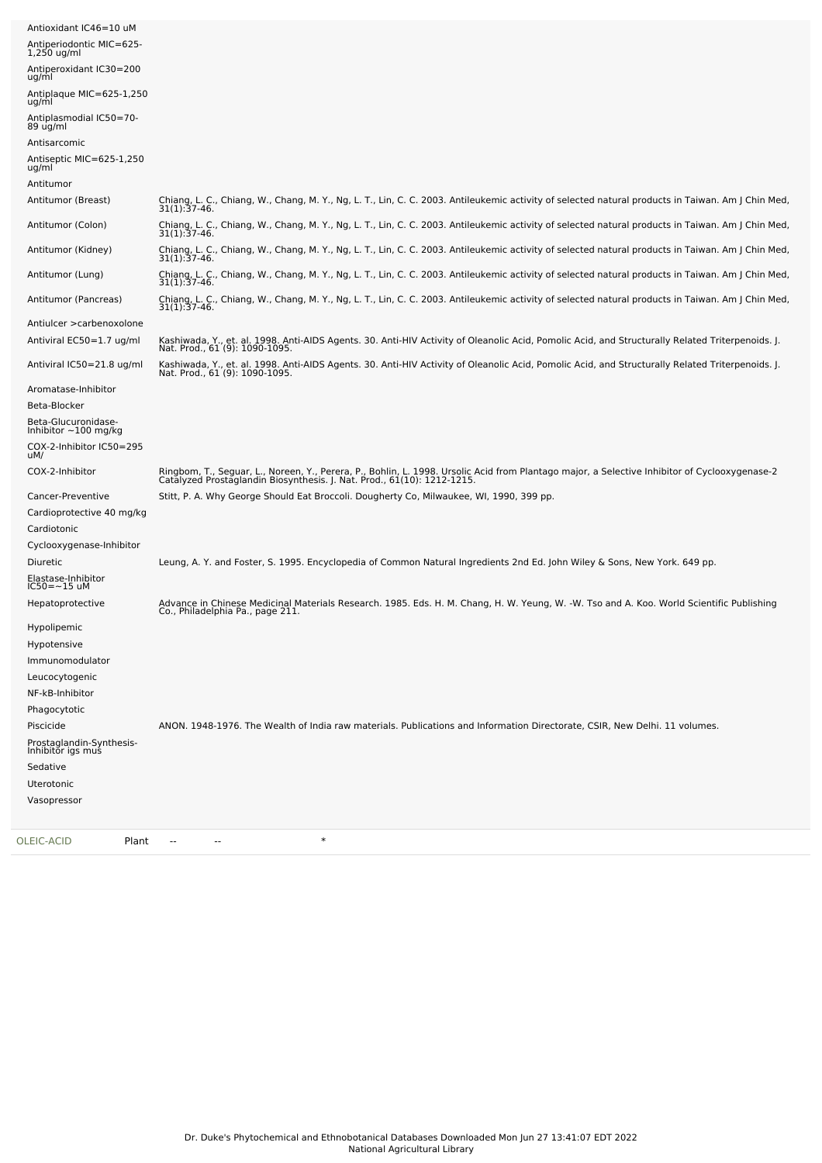| OLEIC-ACID<br>Plant                               | $\ast$                                                                                                                                                                             |
|---------------------------------------------------|------------------------------------------------------------------------------------------------------------------------------------------------------------------------------------|
| Vasopressor                                       |                                                                                                                                                                                    |
| Uterotonic                                        |                                                                                                                                                                                    |
| Sedative                                          |                                                                                                                                                                                    |
| Prostaglandin-Synthesis-<br>Inhibitor igs mus     |                                                                                                                                                                                    |
| Piscicide                                         | ANON. 1948-1976. The Wealth of India raw materials. Publications and Information Directorate, CSIR, New Delhi. 11 volumes.                                                         |
| Phagocytotic                                      |                                                                                                                                                                                    |
| NF-kB-Inhibitor                                   |                                                                                                                                                                                    |
| Leucocytogenic                                    |                                                                                                                                                                                    |
| Immunomodulator                                   |                                                                                                                                                                                    |
| Hypolipemic<br>Hypotensive                        |                                                                                                                                                                                    |
|                                                   | Co., Philadelphia Pa., page 211.                                                                                                                                                   |
| Hepatoprotective                                  | Advance in Chinese Medicinal Materials Research. 1985. Eds. H. M. Chang, H. W. Yeung, W. -W. Tso and A. Koo. World Scientific Publishing                                           |
| Elastase-Inhibitor<br>$IC50 = -15$ uM             |                                                                                                                                                                                    |
| Diuretic                                          | Leung, A. Y. and Foster, S. 1995. Encyclopedia of Common Natural Ingredients 2nd Ed. John Wiley & Sons, New York. 649 pp.                                                          |
| Cyclooxygenase-Inhibitor                          |                                                                                                                                                                                    |
| Cardiotonic                                       |                                                                                                                                                                                    |
| Cancer-Preventive<br>Cardioprotective 40 mg/kg    | Stitt, P. A. Why George Should Eat Broccoli. Dougherty Co, Milwaukee, WI, 1990, 399 pp.                                                                                            |
|                                                   | Catalyzed Prostaglandin Biosynthesis. J. Nat. Prod., 61(10): 1212-1215.                                                                                                            |
| COX-2-Inhibitor                                   | Ringbom, T., Seguar, L., Noreen, Y., Perera, P., Bohlin, L. 1998. Ursolic Acid from Plantago major, a Selective Inhibitor of Cyclooxygenase-2                                      |
| COX-2-Inhibitor IC50=295<br>uM/                   |                                                                                                                                                                                    |
| Beta-Glucuronidase-<br>Inhibitor $\sim$ 100 mg/kg |                                                                                                                                                                                    |
| Beta-Blocker                                      |                                                                                                                                                                                    |
| Aromatase-Inhibitor                               |                                                                                                                                                                                    |
| Antiviral IC50=21.8 ug/ml                         | Kashiwada, Y., et. al. 1998. Anti-AIDS Agents. 30. Anti-HIV Activity of Oleanolic Acid, Pomolic Acid, and Structurally Related Triterpenoids. J.<br>Nat. Prod., 61 (9): 1090-1095. |
| Antiviral EC50=1.7 ug/ml                          | Kashiwada, Y., et. al. 1998. Anti-AIDS Agents. 30. Anti-HIV Activity of Oleanolic Acid, Pomolic Acid, and Structurally Related Triterpenoids. J.<br>Nat. Prod., 61 (9): 1090-1095. |
| Antiulcer > carbenoxolone                         |                                                                                                                                                                                    |
| Antitumor (Pancreas)                              | Chiang, L. C., Chiang, W., Chang, M. Y., Ng, L. T., Lin, C. C. 2003. Antileukemic activity of selected natural products in Taiwan. Am J Chin Med,<br>31(1):37-46.                  |
| Antitumor (Lung)                                  | Chiang, L. C., Chiang, W., Chang, M. Y., Ng, L. T., Lin, C. C. 2003. Antileukemic activity of selected natural products in Taiwan. Am J Chin Med,<br>31(1):37-46.                  |
| Antitumor (Kidney)                                | Chiang, L. C., Chiang, W., Chang, M. Y., Ng, L. T., Lin, C. C. 2003. Antileukemic activity of selected natural products in Taiwan. Am J Chin Med,<br>$31(1):37-46.$                |
|                                                   | $31(1):37-46.$                                                                                                                                                                     |
| Antitumor (Colon)                                 | $31(1):37-46.$<br>Chiang, L. C., Chiang, W., Chang, M. Y., Ng, L. T., Lin, C. C. 2003. Antileukemic activity of selected natural products in Taiwan. Am J Chin Med,                |
| Antitumor (Breast)                                | Chiang, L. C., Chiang, W., Chang, M. Y., Ng, L. T., Lin, C. C. 2003. Antileukemic activity of selected natural products in Taiwan. Am J Chin Med,                                  |
| ug/ml<br>Antitumor                                |                                                                                                                                                                                    |
| Antiseptic MIC=625-1,250                          |                                                                                                                                                                                    |
| 89 ug/ml<br>Antisarcomic                          |                                                                                                                                                                                    |
| Antiplasmodial IC50=70-                           |                                                                                                                                                                                    |
| Antiplaque MIC=625-1,250<br>ug/ml                 |                                                                                                                                                                                    |
| Antiperoxidant IC30=200<br>ug/ml                  |                                                                                                                                                                                    |
| Antiperiodontic MIC=625-<br>$1,250$ ug/ml         |                                                                                                                                                                                    |
| Antioxidant IC46=10 uM                            |                                                                                                                                                                                    |
|                                                   |                                                                                                                                                                                    |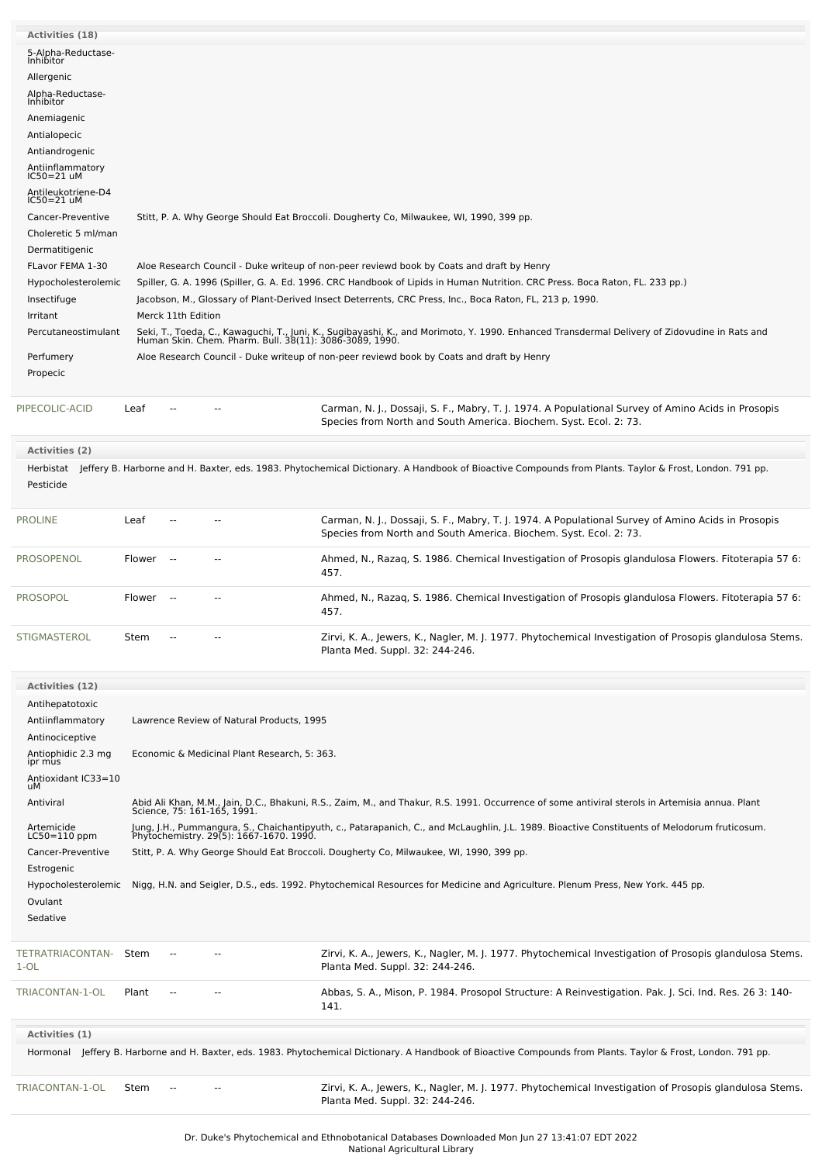| Activities (18)                      |        |                                  |                                              |                                                                                                                                                                                                          |  |  |  |
|--------------------------------------|--------|----------------------------------|----------------------------------------------|----------------------------------------------------------------------------------------------------------------------------------------------------------------------------------------------------------|--|--|--|
| 5-Alpha-Reductase-                   |        |                                  |                                              |                                                                                                                                                                                                          |  |  |  |
| Inhibitor                            |        |                                  |                                              |                                                                                                                                                                                                          |  |  |  |
| Allergenic                           |        |                                  |                                              |                                                                                                                                                                                                          |  |  |  |
| Alpha-Reductase-<br>Inhibitor        |        |                                  |                                              |                                                                                                                                                                                                          |  |  |  |
| Anemiagenic                          |        |                                  |                                              |                                                                                                                                                                                                          |  |  |  |
| Antialopecic                         |        |                                  |                                              |                                                                                                                                                                                                          |  |  |  |
| Antiandrogenic                       |        |                                  |                                              |                                                                                                                                                                                                          |  |  |  |
| Antiinflammatory<br>IC50=21 uM       |        |                                  |                                              |                                                                                                                                                                                                          |  |  |  |
| Antileukotriene-D4<br>$IC50 = 21$ uM |        |                                  |                                              |                                                                                                                                                                                                          |  |  |  |
| Cancer-Preventive                    |        |                                  |                                              | Stitt, P. A. Why George Should Eat Broccoli. Dougherty Co, Milwaukee, WI, 1990, 399 pp.                                                                                                                  |  |  |  |
| Choleretic 5 ml/man                  |        |                                  |                                              |                                                                                                                                                                                                          |  |  |  |
| Dermatitigenic                       |        |                                  |                                              |                                                                                                                                                                                                          |  |  |  |
| FLavor FEMA 1-30                     |        |                                  |                                              | Aloe Research Council - Duke writeup of non-peer reviewd book by Coats and draft by Henry                                                                                                                |  |  |  |
| Hypocholesterolemic                  |        |                                  |                                              | Spiller, G. A. 1996 (Spiller, G. A. Ed. 1996. CRC Handbook of Lipids in Human Nutrition. CRC Press. Boca Raton, FL. 233 pp.)                                                                             |  |  |  |
| Insectifuge                          |        |                                  |                                              | Jacobson, M., Glossary of Plant-Derived Insect Deterrents, CRC Press, Inc., Boca Raton, FL, 213 p, 1990.                                                                                                 |  |  |  |
| Irritant                             |        | Merck 11th Edition               |                                              |                                                                                                                                                                                                          |  |  |  |
| Percutaneostimulant                  |        |                                  |                                              | Seki, T., Toeda, C., Kawaguchi, T., Juni, K., Sugibayashi, K., and Morimoto, Y. 1990. Enhanced Transdermal Delivery of Zidovudine in Rats and<br>Human Skin. Chem. Pharm. Bull. 38(11): 3086-3089, 1990. |  |  |  |
| Perfumery                            |        |                                  |                                              | Aloe Research Council - Duke writeup of non-peer reviewd book by Coats and draft by Henry                                                                                                                |  |  |  |
| Propecic                             |        |                                  |                                              |                                                                                                                                                                                                          |  |  |  |
|                                      |        |                                  |                                              |                                                                                                                                                                                                          |  |  |  |
| PIPECOLIC-ACID                       | Leaf   |                                  |                                              | Carman, N. J., Dossaji, S. F., Mabry, T. J. 1974. A Populational Survey of Amino Acids in Prosopis<br>Species from North and South America. Biochem. Syst. Ecol. 2: 73.                                  |  |  |  |
| Activities (2)                       |        |                                  |                                              |                                                                                                                                                                                                          |  |  |  |
|                                      |        |                                  |                                              | Herbistat Jeffery B. Harborne and H. Baxter, eds. 1983. Phytochemical Dictionary. A Handbook of Bioactive Compounds from Plants. Taylor & Frost, London. 791 pp.                                         |  |  |  |
| Pesticide                            |        |                                  |                                              |                                                                                                                                                                                                          |  |  |  |
|                                      |        |                                  |                                              |                                                                                                                                                                                                          |  |  |  |
| <b>PROLINE</b>                       | Leaf   |                                  |                                              | Carman, N. J., Dossaji, S. F., Mabry, T. J. 1974. A Populational Survey of Amino Acids in Prosopis<br>Species from North and South America. Biochem. Syst. Ecol. 2: 73.                                  |  |  |  |
| <b>PROSOPENOL</b>                    | Flower | $\sim$                           | --                                           | Ahmed, N., Razaq, S. 1986. Chemical Investigation of Prosopis glandulosa Flowers. Fitoterapia 57 6:<br>457.                                                                                              |  |  |  |
| <b>PROSOPOL</b>                      | Flower | $\overline{\phantom{a}}$<br>457. |                                              | Ahmed, N., Razaq, S. 1986. Chemical Investigation of Prosopis glandulosa Flowers. Fitoterapia 57 6:                                                                                                      |  |  |  |
| <b>STIGMASTEROL</b>                  | Stem   |                                  |                                              | Zirvi, K. A., Jewers, K., Nagler, M. J. 1977. Phytochemical Investigation of Prosopis glandulosa Stems.<br>Planta Med. Suppl. 32: 244-246.                                                               |  |  |  |
| Activities (12)                      |        |                                  |                                              |                                                                                                                                                                                                          |  |  |  |
| Antihepatotoxic                      |        |                                  |                                              |                                                                                                                                                                                                          |  |  |  |
| Antiinflammatory                     |        |                                  | Lawrence Review of Natural Products, 1995    |                                                                                                                                                                                                          |  |  |  |
| Antinociceptive                      |        |                                  |                                              |                                                                                                                                                                                                          |  |  |  |
| Antiophidic 2.3 mg                   |        |                                  | Economic & Medicinal Plant Research, 5: 363. |                                                                                                                                                                                                          |  |  |  |
| ipr mus<br>Antioxidant IC33=10       |        |                                  |                                              |                                                                                                                                                                                                          |  |  |  |
| uМ                                   |        |                                  |                                              |                                                                                                                                                                                                          |  |  |  |
| Antiviral                            |        |                                  |                                              | Abid Ali Khan, M.M., Jain, D.C., Bhakuni, R.S., Zaim, M., and Thakur, R.S. 1991. Occurrence of some antiviral sterols in Artemisia annua. Plant<br>Science, 75: 161-165, 1991.                           |  |  |  |
| Artemicide                           |        |                                  |                                              |                                                                                                                                                                                                          |  |  |  |
| $LC50=110$ ppm                       |        |                                  |                                              | Jung, J.H., Pummangura, S., Chaichantipyuth, c., Patarapanich, C., and McLaughlin, J.L. 1989. Bioactive Constituents of Melodorum fruticosum.<br>Phytochemistry. 29(5): 1667-1670. 1990.                 |  |  |  |
| Cancer-Preventive                    |        |                                  |                                              | Stitt, P. A. Why George Should Eat Broccoli. Dougherty Co, Milwaukee, WI, 1990, 399 pp.                                                                                                                  |  |  |  |
| Estrogenic                           |        |                                  |                                              |                                                                                                                                                                                                          |  |  |  |
| Hypocholesterolemic<br>Ovulant       |        |                                  |                                              | Nigg, H.N. and Seigler, D.S., eds. 1992. Phytochemical Resources for Medicine and Agriculture. Plenum Press, New York. 445 pp.                                                                           |  |  |  |
| Sedative                             |        |                                  |                                              |                                                                                                                                                                                                          |  |  |  |
|                                      |        |                                  |                                              |                                                                                                                                                                                                          |  |  |  |
| TETRATRIACONTAN-<br>$1-OL$           | Stem   |                                  |                                              | Zirvi, K. A., Jewers, K., Nagler, M. J. 1977. Phytochemical Investigation of Prosopis glandulosa Stems.<br>Planta Med. Suppl. 32: 244-246.                                                               |  |  |  |
| TRIACONTAN-1-OL                      | Plant  |                                  |                                              | Abbas, S. A., Mison, P. 1984. Prosopol Structure: A Reinvestigation. Pak. J. Sci. Ind. Res. 26 3: 140-<br>141.                                                                                           |  |  |  |
| Activities (1)                       |        |                                  |                                              |                                                                                                                                                                                                          |  |  |  |
|                                      |        |                                  |                                              | Hormonal Jeffery B. Harborne and H. Baxter, eds. 1983. Phytochemical Dictionary. A Handbook of Bioactive Compounds from Plants. Taylor & Frost, London. 791 pp.                                          |  |  |  |
|                                      |        |                                  |                                              |                                                                                                                                                                                                          |  |  |  |
| TRIACONTAN-1-OL                      | Stem   |                                  |                                              | Zirvi, K. A., Jewers, K., Nagler, M. J. 1977. Phytochemical Investigation of Prosopis glandulosa Stems.<br>Planta Med. Suppl. 32: 244-246.                                                               |  |  |  |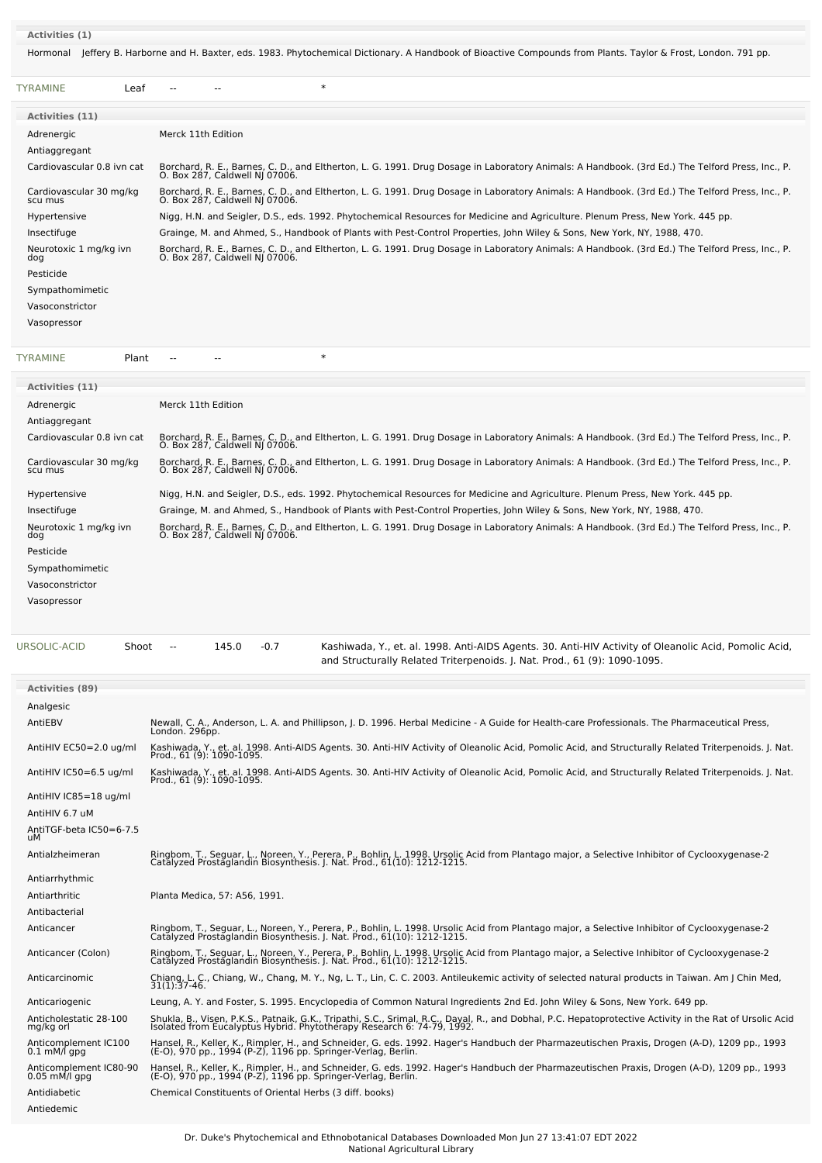#### **Activities (1)**

[TYRAMINE](file:///phytochem/chemicals/show/17637) Plant -- - - \* \*

Hormonal Jeffery B. Harborne and H. Baxter, eds. 1983. Phytochemical Dictionary. A Handbook of Bioactive Compounds from Plants. Taylor & Frost, London. 791 pp.

| TYRAMINE<br>Leaf                   |                                | $\ast$ |                                                                                                                                                                                   |
|------------------------------------|--------------------------------|--------|-----------------------------------------------------------------------------------------------------------------------------------------------------------------------------------|
| Activities (11)                    |                                |        |                                                                                                                                                                                   |
| Adrenergic                         | Merck 11th Edition             |        |                                                                                                                                                                                   |
| Antiaggregant                      |                                |        |                                                                                                                                                                                   |
| Cardiovascular 0.8 ivn cat         | O. Box 287, Caldwell NJ 07006. |        | Borchard, R. E., Barnes, C. D., and Eltherton, L. G. 1991. Drug Dosage in Laboratory Animals: A Handbook. (3rd Ed.) The Telford Press, Inc., P.                                   |
| Cardiovascular 30 mg/kg<br>scu mus | O. Box 287, Caldwell NJ 07006. |        | Borchard, R. E., Barnes, C. D., and Eltherton, L. G. 1991. Drug Dosage in Laboratory Animals: A Handbook. (3rd Ed.) The Telford Press, Inc., P.                                   |
| Hypertensive                       |                                |        | Nigg, H.N. and Seigler, D.S., eds. 1992. Phytochemical Resources for Medicine and Agriculture. Plenum Press, New York. 445 pp.                                                    |
| Insectifuge                        |                                |        | Grainge, M. and Ahmed, S., Handbook of Plants with Pest-Control Properties, John Wiley & Sons, New York, NY, 1988, 470.                                                           |
| Neurotoxic 1 mg/kg ivn<br>dog      |                                |        | Borchard, R. E., Barnes, C. D., and Eltherton, L. G. 1991. Drug Dosage in Laboratory Animals: A Handbook. (3rd Ed.) The Telford Press, Inc., P.<br>O. Box 287, Caldwell NJ 07006. |
| Pesticide                          |                                |        |                                                                                                                                                                                   |
| Sympathomimetic                    |                                |        |                                                                                                                                                                                   |
| Vasoconstrictor                    |                                |        |                                                                                                                                                                                   |
| Vasopressor                        |                                |        |                                                                                                                                                                                   |
|                                    |                                |        |                                                                                                                                                                                   |

| Activities (11)                    |                                                                                                                                                                                   |
|------------------------------------|-----------------------------------------------------------------------------------------------------------------------------------------------------------------------------------|
| Adrenergic                         | Merck 11th Edition                                                                                                                                                                |
| Antiaggregant                      |                                                                                                                                                                                   |
| Cardiovascular 0.8 ivn cat         | Borchard, R. E., Barnes, C. D., and Eltherton, L. G. 1991. Drug Dosage in Laboratory Animals: A Handbook. (3rd Ed.) The Telford Press, Inc., P.<br>O. Box 287, Caldwell NJ 07006. |
| Cardiovascular 30 mg/kg<br>scu mus | Borchard, R. E., Barnes, C. D., and Eltherton, L. G. 1991. Drug Dosage in Laboratory Animals: A Handbook. (3rd Ed.) The Telford Press, Inc., P.<br>O. Box 287, Caldwell NJ 07006. |
| Hypertensive                       | Nigg, H.N. and Seigler, D.S., eds. 1992. Phytochemical Resources for Medicine and Agriculture. Plenum Press, New York. 445 pp.                                                    |
| Insectifuge                        | Grainge, M. and Ahmed, S., Handbook of Plants with Pest-Control Properties, John Wiley & Sons, New York, NY, 1988, 470.                                                           |
| Neurotoxic 1 mg/kg ivn<br>dog      | Borchard, R. E., Barnes, C. D., and Eltherton, L. G. 1991. Drug Dosage in Laboratory Animals: A Handbook. (3rd Ed.) The Telford Press, Inc., P.<br>O. Box 287, Caldwell NJ 07006. |
| Pesticide                          |                                                                                                                                                                                   |
| Sympathomimetic                    |                                                                                                                                                                                   |
| Vasoconstrictor                    |                                                                                                                                                                                   |
| Vasopressor                        |                                                                                                                                                                                   |
|                                    |                                                                                                                                                                                   |

[URSOLIC-ACID](file:///phytochem/chemicals/show/17729) Shoot -- 145.0 -0.7 Kashiwada, Y., et. al. 1998. Anti-AIDS Agents. 30. Anti-HIV Activity of Oleanolic Acid, Pomolic Acid,

|                                           | and Structurally Related Triterpenoids. J. Nat. Prod., 61 (9): 1090-1095.                                                                                                                                                         |
|-------------------------------------------|-----------------------------------------------------------------------------------------------------------------------------------------------------------------------------------------------------------------------------------|
| <b>Activities (89)</b>                    |                                                                                                                                                                                                                                   |
| Analgesic                                 |                                                                                                                                                                                                                                   |
| AntiEBV                                   | Newall, C. A., Anderson, L. A. and Phillipson, J. D. 1996. Herbal Medicine - A Guide for Health-care Professionals. The Pharmaceutical Press,<br>London. 296pp.                                                                   |
| AntiHIV EC50=2.0 ug/ml                    | Kashiwada, Y., et. al. 1998. Anti-AIDS Agents. 30. Anti-HIV Activity of Oleanolic Acid, Pomolic Acid, and Structurally Related Triterpenoids. J. Nat.<br>Prod., 61 (9): 1090-1095.                                                |
| AntiHIV IC50=6.5 ug/ml                    | Kashiwada, Y., et. al. 1998. Anti-AIDS Agents. 30. Anti-HIV Activity of Oleanolic Acid, Pomolic Acid, and Structurally Related Triterpenoids. J. Nat.<br>Prod., 61 (9): 1090-1095.                                                |
| AntiHIV IC85=18 ug/ml                     |                                                                                                                                                                                                                                   |
| AntiHIV 6.7 uM                            |                                                                                                                                                                                                                                   |
| AntiTGF-beta IC50=6-7.5<br>uМ             |                                                                                                                                                                                                                                   |
| Antialzheimeran                           | Ringbom, T., Seguar, L., Noreen, Y., Perera, P., Bohlin, L. 1998. Ursolic Acid from Plantago major, a Selective Inhibitor of Cyclooxygenase-2<br>Catalyzed Prostaglandin Biosynthesis. J. Nat. Prod., 61(10): 1212-1215.          |
| Antiarrhythmic                            |                                                                                                                                                                                                                                   |
| Antiarthritic                             | Planta Medica, 57: A56, 1991.                                                                                                                                                                                                     |
| Antibacterial                             |                                                                                                                                                                                                                                   |
| Anticancer                                | Ringbom, T., Seguar, L., Noreen, Y., Perera, P., Bohlin, L. 1998. Ursolic Acid from Plantago major, a Selective Inhibitor of Cyclooxygenase-2<br>Catalyzed Prostaglandin Biosynthesis. J. Nat. Prod., 61(10): 1212-1215.          |
| Anticancer (Colon)                        | Ringbom, T., Seguar, L., Noreen, Y., Perera, P., Bohlin, L. 1998. Ursolic Acid from Plantago major, a Selective Inhibitor of Cyclooxygenase-2<br>Catalyzed Prostaglandin Biosynthesis. J. Nat. Prod., 61(10): 1212-1215.          |
| Anticarcinomic                            | Chiang, L. C., Chiang, W., Chang, M. Y., Ng, L. T., Lin, C. C. 2003. Antileukemic activity of selected natural products in Taiwan. Am J Chin Med,<br>$31(1):37-46.$                                                               |
| Anticariogenic                            | Leung, A. Y. and Foster, S. 1995. Encyclopedia of Common Natural Ingredients 2nd Ed. John Wiley & Sons, New York. 649 pp.                                                                                                         |
| Anticholestatic 28-100<br>mg/kg orl       | Shukla, B., Visen, P.K.S., Patnaik, G.K., Tripathi, S.C., Srimal, R.C., Dayal, R., and Dobhal, P.C. Hepatoprotective Activity in the Rat of Ursolic Acid<br>Isolated from Eucalyptus Hybrid. Phytotherapy Research 6: 74-79, 1992 |
| Anticomplement IC100<br>$0.1$ mM/l gpg    | Hansel, R., Keller, K., Rimpler, H., and Schneider, G. eds. 1992. Hager's Handbuch der Pharmazeutischen Praxis, Drogen (A-D), 1209 pp., 1993<br>(E-O), 970 pp., 1994 (P-Z), 1196 pp. Springer-Verlag, Berlin.                     |
| Anticomplement IC80-90<br>$0.05$ mM/l gpg | Hansel, R., Keller, K., Rimpler, H., and Schneider, G. eds. 1992. Hager's Handbuch der Pharmazeutischen Praxis, Drogen (A-D), 1209 pp., 1993<br>(E-O), 970 pp., 1994 (P-Z), 1196 pp. Springer-Verlag, Berlin.                     |
| Antidiabetic                              | Chemical Constituents of Oriental Herbs (3 diff. books)                                                                                                                                                                           |
| Antiedemic                                |                                                                                                                                                                                                                                   |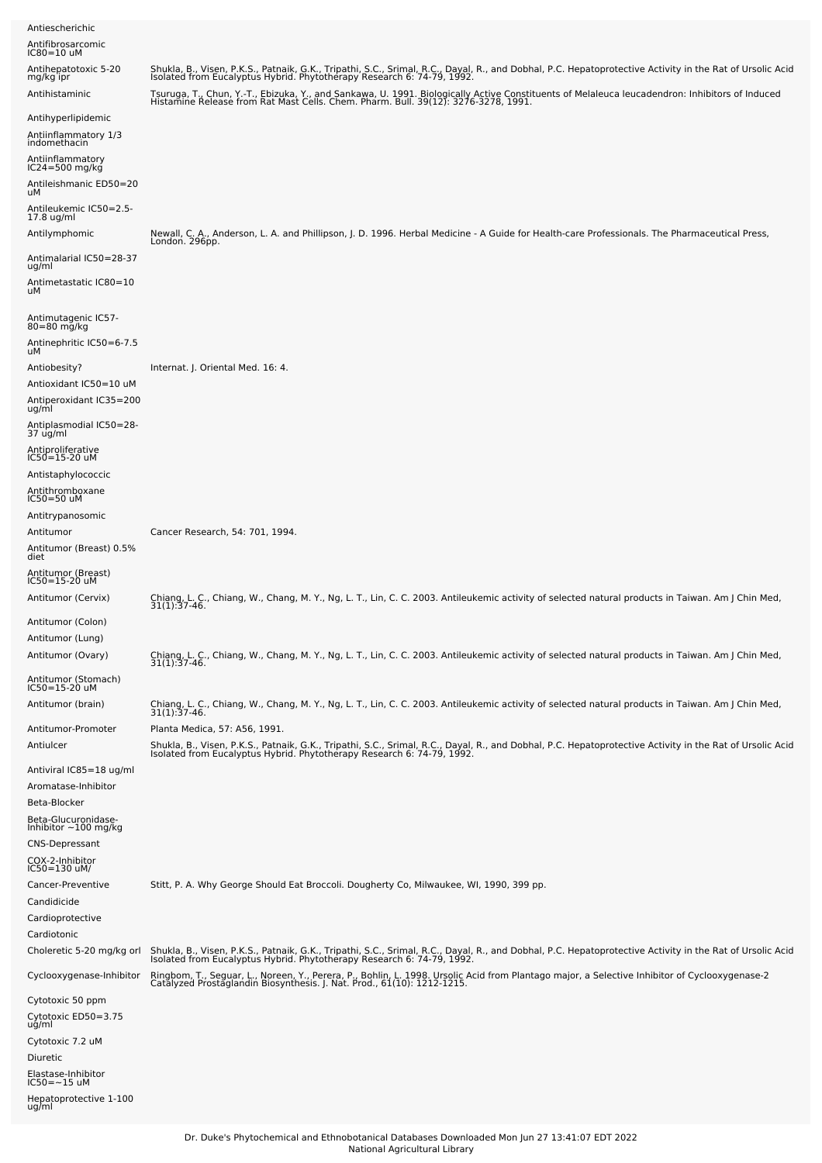| Antiescherichic<br>Antifibrosarcomic<br>$IC80=10$ uM                                                                                 |                                                                                                                                                                                                                                                                                                                                                                                                                                                                            |
|--------------------------------------------------------------------------------------------------------------------------------------|----------------------------------------------------------------------------------------------------------------------------------------------------------------------------------------------------------------------------------------------------------------------------------------------------------------------------------------------------------------------------------------------------------------------------------------------------------------------------|
| Antihepatotoxic 5-20<br>mg/kg ipr<br>Antihistaminic                                                                                  | Shukla, B., Visen, P.K.S., Patnaik, G.K., Tripathi, S.C., Srimal, R.C., Dayal, R., and Dobhal, P.C. Hepatoprotective Activity in the Rat of Ursolic Acid<br>Isolated from Eucalyptus Hybrid. Phytotherapy Research 6: 74-79, 1992.<br>Tsuruga, T., Chun, Y.-T., Ebizuka, Y., and Sankawa, U. 1991. Biologically Active Constituents of Melaleuca leucadendron: Inhibitors of Induced<br>Histamine Release from Rat Mast Cells. Chem. Pharm. Bull. 39(12): 3276-3278, 1991. |
| Antihyperlipidemic<br>Antiinflammatory 1/3<br>indomethacin<br>Antiinflammatory<br>$IC24 = 500$ mg/kg<br>Antileishmanic ED50=20<br>uМ |                                                                                                                                                                                                                                                                                                                                                                                                                                                                            |
| Antileukemic IC50=2.5-<br>17.8 ug/ml<br>Antilymphomic                                                                                | Newall, C. A., Anderson, L. A. and Phillipson, J. D. 1996. Herbal Medicine - A Guide for Health-care Professionals. The Pharmaceutical Press,<br>London. 296pp.                                                                                                                                                                                                                                                                                                            |
| Antimalarial IC50=28-37<br>ug/ml<br>Antimetastatic IC80=10<br>uМ                                                                     |                                                                                                                                                                                                                                                                                                                                                                                                                                                                            |
| Antimutagenic IC57-<br>80=80 mg/kg<br>Antinephritic IC50=6-7.5<br>uМ                                                                 |                                                                                                                                                                                                                                                                                                                                                                                                                                                                            |
| Antiobesity?<br>Antioxidant IC50=10 uM<br>Antiperoxidant IC35=200<br>ug/ml                                                           | Internat. J. Oriental Med. 16: 4.                                                                                                                                                                                                                                                                                                                                                                                                                                          |
| Antiplasmodial IC50=28-<br>37 ug/ml<br>Antiproliferative<br>$IC50 = 15 - 20$ uM<br>Antistaphylococcic                                |                                                                                                                                                                                                                                                                                                                                                                                                                                                                            |
| Antithromboxane<br>IC50=50 uM<br>Antitrypanosomic<br>Antitumor<br>Antitumor (Breast) 0.5%<br>diet                                    | Cancer Research, 54: 701, 1994.                                                                                                                                                                                                                                                                                                                                                                                                                                            |
| Antitumor (Breast)<br>IC50=15-20 uM<br>Antitumor (Cervix)                                                                            | Chiang, L. C., Chiang, W., Chang, M. Y., Ng, L. T., Lin, C. C. 2003. Antileukemic activity of selected natural products in Taiwan. Am J Chin Med,<br>$31(1):37-46.$                                                                                                                                                                                                                                                                                                        |
| Antitumor (Colon)<br>Antitumor (Lung)<br>Antitumor (Ovary)                                                                           | Chiang, L. C., Chiang, W., Chang, M. Y., Ng, L. T., Lin, C. C. 2003. Antileukemic activity of selected natural products in Taiwan. Am J Chin Med,<br>31(1):37-46.                                                                                                                                                                                                                                                                                                          |
| Antitumor (Stomach)<br>IC50=15-20 uM<br>Antitumor (brain)                                                                            |                                                                                                                                                                                                                                                                                                                                                                                                                                                                            |
| Antitumor-Promoter<br>Antiulcer                                                                                                      | Chiang, L. C., Chiang, W., Chang, M. Y., Ng, L. T., Lin, C. C. 2003. Antileukemic activity of selected natural products in Taiwan. Am J Chin Med,<br>31(1):37-46.<br>Planta Medica, 57: A56, 1991.<br>Shukla, B., Visen, P.K.S., Patnaik, G.K., Tripathi, S.C., Srimal, R.C., Dayal, R., and Dobhal, P.C. Hepatoprotective Activity in the Rat of Ursolic Acid<br>Isolated from Eucalyptus Hybrid. Phytotherapy Research 6: 74-79, 1992                                    |
| Antiviral IC85=18 ug/ml<br>Aromatase-Inhibitor<br>Beta-Blocker<br>Beta-Glucuronidase-<br>Inhibitor ~100 mg/kg<br>CNS-Depressant      |                                                                                                                                                                                                                                                                                                                                                                                                                                                                            |
| COX-2-Inhibitor<br>IC50=130 uM/<br>Cancer-Preventive<br>Candidicide<br>Cardioprotective                                              | Stitt, P. A. Why George Should Eat Broccoli. Dougherty Co, Milwaukee, WI, 1990, 399 pp.                                                                                                                                                                                                                                                                                                                                                                                    |
| Cardiotonic<br>Choleretic 5-20 mg/kg orl                                                                                             | Shukla, B., Visen, P.K.S., Patnaik, G.K., Tripathi, S.C., Srimal, R.C., Dayal, R., and Dobhal, P.C. Hepatoprotective Activity in the Rat of Ursolic Acid<br>Isolated from Eucalyptus Hybrid. Phytotherapy Research 6: 74-79, 1992                                                                                                                                                                                                                                          |
| Cyclooxygenase-Inhibitor                                                                                                             | Ringbom, T., Seguar, L., Noreen, Y., Perera, P., Bohlin, L. 1998. Ursolic Acid from Plantago major, a Selective Inhibitor of Cyclooxygenase-2<br>Catalyzed Prostaglandin Biosynthesis. J. Nat. Prod., 61(10): 1212-1215.                                                                                                                                                                                                                                                   |
| Cytotoxic 50 ppm<br>Cytotoxic ED50=3.75<br>ug/ml<br>Cytotoxic 7.2 uM<br>Diuretic<br>Elastase-Inhibitor<br>IC50=~15 uM                |                                                                                                                                                                                                                                                                                                                                                                                                                                                                            |
| Hepatoprotective 1-100<br>ug/ml                                                                                                      |                                                                                                                                                                                                                                                                                                                                                                                                                                                                            |